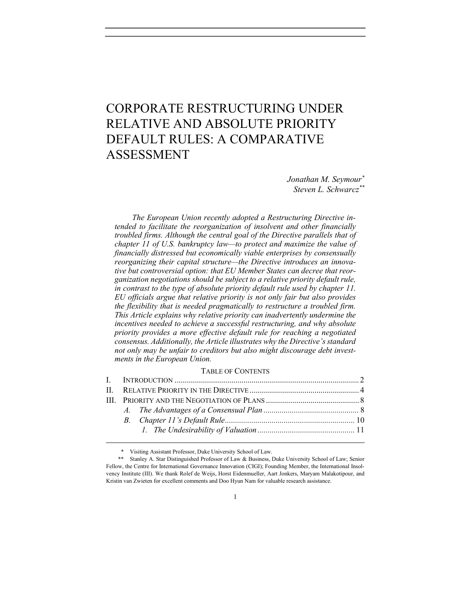# CORPORATE RESTRUCTURING UNDER RELATIVE AND ABSOLUTE PRIORITY DEFAULT RULES: A COMPARATIVE ASSESSMENT

Jonathan M. Seymour\* Steven L. Schwarcz\*\*

The European Union recently adopted a Restructuring Directive intended to facilitate the reorganization of insolvent and other financially troubled firms. Although the central goal of the Directive parallels that of chapter 11 of U.S. bankruptcy law—to protect and maximize the value of financially distressed but economically viable enterprises by consensually reorganizing their capital structure—the Directive introduces an innovative but controversial option: that EU Member States can decree that reorganization negotiations should be subject to a relative priority default rule, in contrast to the type of absolute priority default rule used by chapter 11. EU officials argue that relative priority is not only fair but also provides the flexibility that is needed pragmatically to restructure a troubled firm. This Article explains why relative priority can inadvertently undermine the incentives needed to achieve a successful restructuring, and why absolute priority provides a more effective default rule for reaching a negotiated consensus. Additionally, the Article illustrates why the Directive's standard not only may be unfair to creditors but also might discourage debt investments in the European Union.

#### TABLE OF CONTENTS

\* Visiting Assistant Professor, Duke University School of Law.

 <sup>\*\*</sup> Stanley A. Star Distinguished Professor of Law & Business, Duke University School of Law; Senior Fellow, the Centre for International Governance Innovation (CIGI); Founding Member, the International Insolvency Institute (III). We thank Rolef de Weijs, Horst Eidenmueller, Aart Jonkers, Maryam Malakotipour, and Kristin van Zwieten for excellent comments and Doo Hyun Nam for valuable research assistance.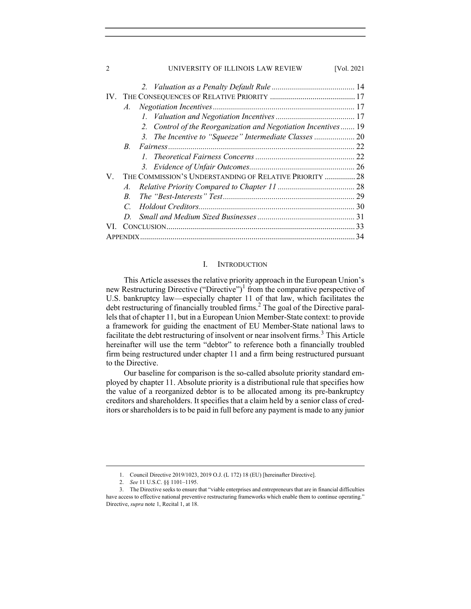| UNIVERSITY OF ILLINOIS LAW REVIEW<br>[Vol. 2021<br>2              |
|-------------------------------------------------------------------|
|                                                                   |
|                                                                   |
| $\mathcal{A}$ .                                                   |
|                                                                   |
| Control of the Reorganization and Negotiation Incentives 19<br>2. |
|                                                                   |
| $B_{-}$                                                           |
|                                                                   |
|                                                                   |
| THE COMMISSION'S UNDERSTANDING OF RELATIVE PRIORITY  28<br>V.     |
| $\mathcal{A}$ .                                                   |
| $B_{\cdot}$                                                       |
| $\mathcal{C}$                                                     |
| D                                                                 |
|                                                                   |
| APPENDIX.                                                         |

# I. INTRODUCTION

This Article assesses the relative priority approach in the European Union's new Restructuring Directive ("Directive")<sup>1</sup> from the comparative perspective of U.S. bankruptcy law—especially chapter 11 of that law, which facilitates the debt restructuring of financially troubled firms.<sup>2</sup> The goal of the Directive parallels that of chapter 11, but in a European Union Member-State context: to provide a framework for guiding the enactment of EU Member-State national laws to facilitate the debt restructuring of insolvent or near insolvent firms.<sup>3</sup> This Article hereinafter will use the term "debtor" to reference both a financially troubled firm being restructured under chapter 11 and a firm being restructured pursuant to the Directive.

Our baseline for comparison is the so-called absolute priority standard employed by chapter 11. Absolute priority is a distributional rule that specifies how the value of a reorganized debtor is to be allocated among its pre-bankruptcy creditors and shareholders. It specifies that a claim held by a senior class of creditors or shareholders is to be paid in full before any payment is made to any junior

 <sup>1.</sup> Council Directive 2019/1023, 2019 O.J. (L 172) 18 (EU) [hereinafter Directive].

 <sup>2.</sup> See 11 U.S.C. §§ 1101–1195.

 <sup>3.</sup> The Directive seeks to ensure that "viable enterprises and entrepreneurs that are in financial difficulties have access to effective national preventive restructuring frameworks which enable them to continue operating." Directive, supra note 1, Recital 1, at 18.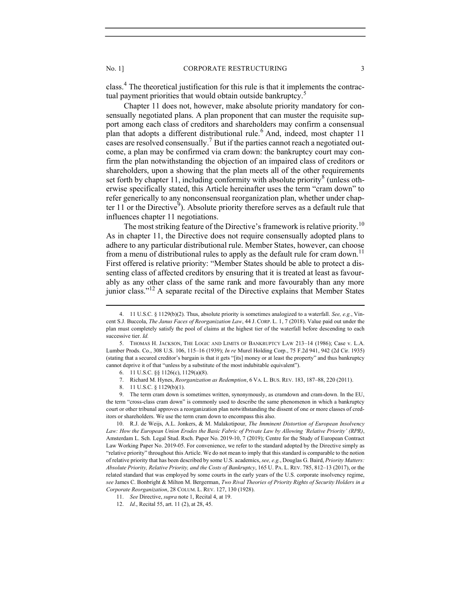class.<sup>4</sup> The theoretical justification for this rule is that it implements the contractual payment priorities that would obtain outside bankruptcy.<sup>5</sup>

Chapter 11 does not, however, make absolute priority mandatory for consensually negotiated plans. A plan proponent that can muster the requisite support among each class of creditors and shareholders may confirm a consensual plan that adopts a different distributional rule.<sup>6</sup> And, indeed, most chapter 11 cases are resolved consensually.<sup>7</sup> But if the parties cannot reach a negotiated outcome, a plan may be confirmed via cram down: the bankruptcy court may confirm the plan notwithstanding the objection of an impaired class of creditors or shareholders, upon a showing that the plan meets all of the other requirements set forth by chapter 11, including conformity with absolute priority<sup>8</sup> (unless otherwise specifically stated, this Article hereinafter uses the term "cram down" to refer generically to any nonconsensual reorganization plan, whether under chapter  $11$  or the Directive<sup>9</sup>). Absolute priority therefore serves as a default rule that influences chapter 11 negotiations.

The most striking feature of the Directive's framework is relative priority.<sup>10</sup> As in chapter 11, the Directive does not require consensually adopted plans to adhere to any particular distributional rule. Member States, however, can choose from a menu of distributional rules to apply as the default rule for cram down.<sup>11</sup> First offered is relative priority: "Member States should be able to protect a dissenting class of affected creditors by ensuring that it is treated at least as favourably as any other class of the same rank and more favourably than any more junior class."<sup>12</sup> A separate recital of the Directive explains that Member States

10. R.J. de Weijs, A.L. Jonkers, & M. Malakotipour, The Imminent Distortion of European Insolvency Law: How the European Union Erodes the Basic Fabric of Private Law by Allowing 'Relative Priority' (RPR), Amsterdam L. Sch. Legal Stud. Rsch. Paper No. 2019-10, 7 (2019); Centre for the Study of European Contract Law Working Paper No. 2019-05. For convenience, we refer to the standard adopted by the Directive simply as "relative priority" throughout this Article. We do not mean to imply that this standard is comparable to the notion of relative priority that has been described by some U.S. academics, see, e.g., Douglas G. Baird, Priority Matters: Absolute Priority, Relative Priority, and the Costs of Bankruptcy, 165 U. PA. L. REV. 785, 812–13 (2017), or the related standard that was employed by some courts in the early years of the U.S. corporate insolvency regime, see James C. Bonbright & Milton M. Bergerman, Two Rival Theories of Priority Rights of Security Holders in a Corporate Reorganization, 28 COLUM. L. REV. 127, 130 (1928).

<sup>4. 11</sup> U.S.C. § 1129(b)(2). Thus, absolute priority is sometimes analogized to a waterfall. See, e.g., Vincent S.J. Buccola, The Janus Faces of Reorganization Law, 44 J. CORP. L. 1, 7 (2018). Value paid out under the plan must completely satisfy the pool of claims at the highest tier of the waterfall before descending to each successive tier. Id.

 <sup>5.</sup> THOMAS H. JACKSON, THE LOGIC AND LIMITS OF BANKRUPTCY LAW 213–14 (1986); Case v. L.A. Lumber Prods. Co., 308 U.S. 106, 115–16 (1939); In re Murel Holding Corp., 75 F.2d 941, 942 (2d Cir. 1935) (stating that a secured creditor's bargain is that it gets "[its] money or at least the property" and thus bankruptcy cannot deprive it of that "unless by a substitute of the most indubitable equivalent").

 <sup>6. 11</sup> U.S.C. §§ 1126(c), 1129(a)(8).

 <sup>7.</sup> Richard M. Hynes, Reorganization as Redemption, 6 VA. L. BUS. REV. 183, 187–88, 220 (2011).

 <sup>8. 11</sup> U.S.C. § 1129(b)(1).

 <sup>9.</sup> The term cram down is sometimes written, synonymously, as cramdown and cram-down. In the EU, the term "cross-class cram down" is commonly used to describe the same phenomenon in which a bankruptcy court or other tribunal approves a reorganization plan notwithstanding the dissent of one or more classes of creditors or shareholders. We use the term cram down to encompass this also.

 <sup>11.</sup> See Directive, supra note 1, Recital 4, at 19.

 <sup>12.</sup> Id., Recital 55, art. 11 (2), at 28, 45.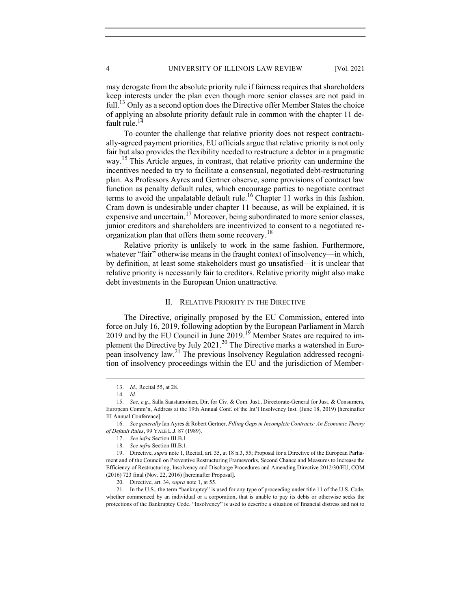may derogate from the absolute priority rule if fairness requires that shareholders keep interests under the plan even though more senior classes are not paid in full.<sup>13</sup> Only as a second option does the Directive offer Member States the choice of applying an absolute priority default rule in common with the chapter 11 default rule.<sup>14</sup>

To counter the challenge that relative priority does not respect contractually-agreed payment priorities, EU officials argue that relative priority is not only fair but also provides the flexibility needed to restructure a debtor in a pragmatic way.<sup>15</sup> This Article argues, in contrast, that relative priority can undermine the incentives needed to try to facilitate a consensual, negotiated debt-restructuring plan. As Professors Ayres and Gertner observe, some provisions of contract law function as penalty default rules, which encourage parties to negotiate contract terms to avoid the unpalatable default rule.<sup>16</sup> Chapter 11 works in this fashion. Cram down is undesirable under chapter 11 because, as will be explained, it is expensive and uncertain.<sup>17</sup> Moreover, being subordinated to more senior classes, junior creditors and shareholders are incentivized to consent to a negotiated reorganization plan that offers them some recovery.<sup>18</sup>

Relative priority is unlikely to work in the same fashion. Furthermore, whatever "fair" otherwise means in the fraught context of insolvency—in which, by definition, at least some stakeholders must go unsatisfied—it is unclear that relative priority is necessarily fair to creditors. Relative priority might also make debt investments in the European Union unattractive.

#### II. RELATIVE PRIORITY IN THE DIRECTIVE

The Directive, originally proposed by the EU Commission, entered into force on July 16, 2019, following adoption by the European Parliament in March 2019 and by the EU Council in June 2019.<sup>19</sup> Member States are required to implement the Directive by July 2021.<sup>20</sup> The Directive marks a watershed in European insolvency law.<sup>21</sup> The previous Insolvency Regulation addressed recognition of insolvency proceedings within the EU and the jurisdiction of Member-

 21. In the U.S., the term "bankruptcy" is used for any type of proceeding under title 11 of the U.S. Code, whether commenced by an individual or a corporation, that is unable to pay its debts or otherwise seeks the protections of the Bankruptcy Code. "Insolvency" is used to describe a situation of financial distress and not to

 <sup>13.</sup> Id., Recital 55, at 28.

 <sup>14.</sup> Id.

<sup>15.</sup> See, e.g., Salla Saastamoinen, Dir. for Civ. & Com. Just., Directorate-General for Just. & Consumers, European Comm'n, Address at the 19th Annual Conf. of the Int'l Insolvency Inst. (June 18, 2019) [hereinafter III Annual Conference].

 <sup>16.</sup> See generally Ian Ayres & Robert Gertner, Filling Gaps in Incomplete Contracts: An Economic Theory of Default Rules, 99 YALE L.J. 87 (1989).

<sup>17.</sup> See infra Section III.B.1.

 <sup>18.</sup> See infra Section III.B.1.

 <sup>19.</sup> Directive, supra note 1, Recital, art. 35, at 18 n.3, 55; Proposal for a Directive of the European Parliament and of the Council on Preventive Restructuring Frameworks, Second Chance and Measures to Increase the Efficiency of Restructuring, Insolvency and Discharge Procedures and Amending Directive 2012/30/EU, COM (2016) 723 final (Nov. 22, 2016) [hereinafter Proposal].

<sup>20.</sup> Directive, art. 34, *supra* note 1, at 55.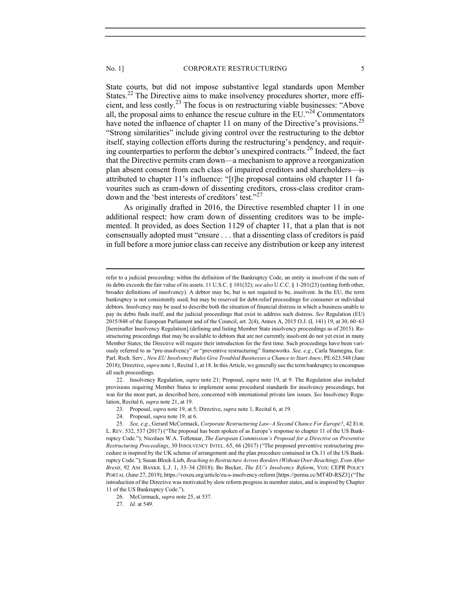State courts, but did not impose substantive legal standards upon Member States.<sup>22</sup> The Directive aims to make insolvency procedures shorter, more efficient, and less costly.23 The focus is on restructuring viable businesses: "Above all, the proposal aims to enhance the rescue culture in the  $EU$ .<sup>24</sup> Commentators have noted the influence of chapter 11 on many of the Directive's provisions.<sup>25</sup> "Strong similarities" include giving control over the restructuring to the debtor itself, staying collection efforts during the restructuring's pendency, and requiring counterparties to perform the debtor's unexpired contracts.<sup>26</sup> Indeed, the fact that the Directive permits cram down—a mechanism to approve a reorganization plan absent consent from each class of impaired creditors and shareholders—is attributed to chapter 11's influence: "[t]he proposal contains old chapter 11 favourites such as cram-down of dissenting creditors, cross-class creditor cramdown and the 'best interests of creditors' test."<sup>27</sup>

As originally drafted in 2016, the Directive resembled chapter 11 in one additional respect: how cram down of dissenting creditors was to be implemented. It provided, as does Section 1129 of chapter 11, that a plan that is not consensually adopted must "ensure . . . that a dissenting class of creditors is paid in full before a more junior class can receive any distribution or keep any interest

22. Insolvency Regulation, *supra* note 21; Proposal, *supra* note 19, at 9. The Regulation also included provisions requiring Member States to implement some procedural standards for insolvency proceedings, but was for the most part, as described here, concerned with international private law issues. See Insolvency Regulation, Recital 6, supra note 21, at 19.

refer to a judicial proceeding: within the definition of the Bankruptcy Code, an entity is insolvent if the sum of its debts exceeds the fair value of its assets. 11 U.S.C. § 101(32); see also U.C.C. § 1-201(23) (setting forth other, broader definitions of insolvency). A debtor may be, but is not required to be, insolvent. In the EU, the term bankruptcy is not consistently used, but may be reserved for debt-relief proceedings for consumer or individual debtors. Insolvency may be used to describe both the situation of financial distress in which a business unable to pay its debts finds itself, and the judicial proceedings that exist to address such distress. See Regulation (EU) 2015/848 of the European Parliament and of the Council, art. 2(4), Annex A, 2015 O.J. (L 141) 19, at 30, 60–63 [hereinafter Insolvency Regulation] (defining and listing Member State insolvency proceedings as of 2015). Restructuring proceedings that may be available to debtors that are not currently insolvent do not yet exist in many Member States; the Directive will require their introduction for the first time. Such proceedings have been variously referred to as "pre-insolvency" or "preventive restructuring" frameworks. See, e.g., Carla Stamegna, Eur. Parl. Rsch. Serv., New EU Insolvency Rules Give Troubled Businesses a Chance to Start Anew, PE.623.548 (June 2018); Directive, *supra* note 1, Recital 1, at 18. In this Article, we generally use the term bankruptcy to encompass all such proceedings.

 <sup>23.</sup> Proposal, supra note 19, at 5; Directive, supra note 1, Recital 6, at 19.

 <sup>24.</sup> Proposal, supra note 19, at 6.

<sup>25.</sup> See, e.g., Gerard McCormack, Corporate Restructuring Law-A Second Chance For Europe?, 42 EUR. L. REV. 532, 537 (2017) ("The proposal has been spoken of as Europe's response to chapter 11 of the US Bankruptcy Code."); Nicolaes W.A. Tollenaar, The European Commission's Proposal for a Directive on Preventive Restructuring Proceedings, 30 INSOLVENCY INTEL. 65, 66 (2017) ("The proposed preventive restructuring procedure is inspired by the UK scheme of arrangement and the plan procedure contained in Ch.11 of the US Bankruptcy Code."); Susan Block-Lieb, Reaching to Restructure Across Borders (Without Over-Reaching), Even After Brexit, 92 AM. BANKR. L.J. 1, 33–34 (2018); Bo Becker, The EU's Insolvency Reform, VOX: CEPR POLICY PORTAL (June 27, 2019), https://voxeu.org/article/eu-s-insolvency-reform [https://perma.cc/MT4D-RSZ3] ("The introduction of the Directive was motivated by slow reform progress in member states, and is inspired by Chapter 11 of the US Bankruptcy Code.").

 <sup>26.</sup> McCormack, supra note 25, at 537.

 <sup>27.</sup> Id. at 549.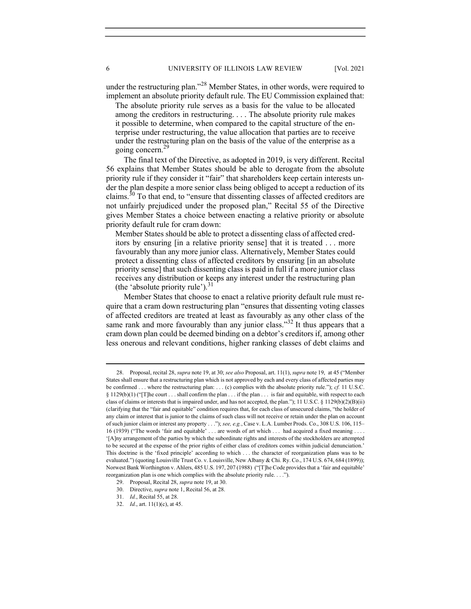under the restructuring plan."<sup>28</sup> Member States, in other words, were required to implement an absolute priority default rule. The EU Commission explained that:

The absolute priority rule serves as a basis for the value to be allocated among the creditors in restructuring. . . . The absolute priority rule makes it possible to determine, when compared to the capital structure of the enterprise under restructuring, the value allocation that parties are to receive under the restructuring plan on the basis of the value of the enterprise as a going concern.<sup>29</sup>

The final text of the Directive, as adopted in 2019, is very different. Recital 56 explains that Member States should be able to derogate from the absolute priority rule if they consider it "fair" that shareholders keep certain interests under the plan despite a more senior class being obliged to accept a reduction of its claims.<sup>30</sup> To that end, to "ensure that dissenting classes of affected creditors are not unfairly prejudiced under the proposed plan," Recital 55 of the Directive gives Member States a choice between enacting a relative priority or absolute priority default rule for cram down:

Member States should be able to protect a dissenting class of affected creditors by ensuring [in a relative priority sense] that it is treated . . . more favourably than any more junior class. Alternatively, Member States could protect a dissenting class of affected creditors by ensuring [in an absolute priority sense] that such dissenting class is paid in full if a more junior class receives any distribution or keeps any interest under the restructuring plan (the 'absolute priority rule'). $31$ 

Member States that choose to enact a relative priority default rule must require that a cram down restructuring plan "ensures that dissenting voting classes of affected creditors are treated at least as favourably as any other class of the same rank and more favourably than any junior class."<sup>32</sup> It thus appears that a cram down plan could be deemed binding on a debtor's creditors if, among other less onerous and relevant conditions, higher ranking classes of debt claims and

<sup>28.</sup> Proposal, recital 28, supra note 19, at 30; see also Proposal, art. 11(1), supra note 19, at 45 ("Member States shall ensure that a restructuring plan which is not approved by each and every class of affected parties may be confirmed ... where the restructuring plan: ... (c) complies with the absolute priority rule."); cf. 11 U.S.C. §  $1129(b)(1)$  ("[T]he court . . . shall confirm the plan . . . if the plan . . . is fair and equitable, with respect to each class of claims or interests that is impaired under, and has not accepted, the plan."); 11 U.S.C. § 1129(b)(2)(B)(ii) (clarifying that the "fair and equitable" condition requires that, for each class of unsecured claims, "the holder of any claim or interest that is junior to the claims of such class will not receive or retain under the plan on account of such junior claim or interest any property . . ."); see, e.g., Case v. L.A. Lumber Prods. Co., 308 U.S. 106, 115– 16 (1939) ("The words 'fair and equitable' . . . are words of art which . . . had acquired a fixed meaning . . . . '[A]ny arrangement of the parties by which the subordinate rights and interests of the stockholders are attempted to be secured at the expense of the prior rights of either class of creditors comes within judicial denunciation.' This doctrine is the 'fixed principle' according to which . . . the character of reorganization plans was to be evaluated.") (quoting Louisville Trust Co. v. Louisville, New Albany & Chi. Ry. Co., 174 U.S. 674, 684 (1899)); Norwest Bank Worthington v. Ahlers, 485 U.S. 197, 207 (1988) ("[T]he Code provides that a 'fair and equitable' reorganization plan is one which complies with the absolute priority rule. . . .").

 <sup>29.</sup> Proposal, Recital 28, supra note 19, at 30.

 <sup>30.</sup> Directive, supra note 1, Recital 56, at 28.

 <sup>31.</sup> Id., Recital 55, at 28.

<sup>32.</sup> *Id.*, art.  $11(1)(c)$ , at 45.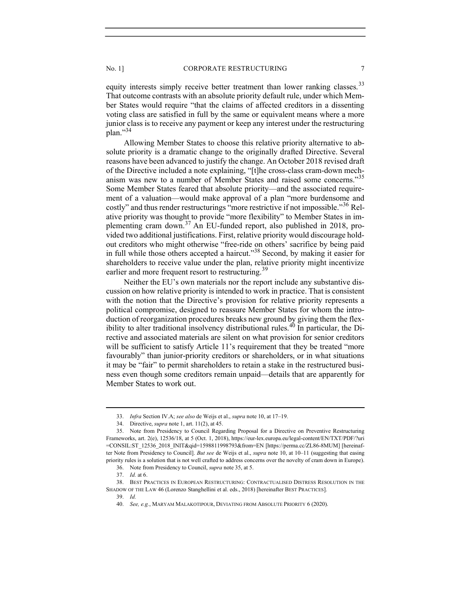equity interests simply receive better treatment than lower ranking classes.<sup>33</sup> That outcome contrasts with an absolute priority default rule, under which Member States would require "that the claims of affected creditors in a dissenting voting class are satisfied in full by the same or equivalent means where a more junior class is to receive any payment or keep any interest under the restructuring plan."<sup>34</sup>

Allowing Member States to choose this relative priority alternative to absolute priority is a dramatic change to the originally drafted Directive. Several reasons have been advanced to justify the change. An October 2018 revised draft of the Directive included a note explaining, "[t]he cross-class cram-down mechanism was new to a number of Member States and raised some concerns."<sup>35</sup> Some Member States feared that absolute priority—and the associated requirement of a valuation—would make approval of a plan "more burdensome and costly" and thus render restructurings "more restrictive if not impossible."<sup>36</sup> Relative priority was thought to provide "more flexibility" to Member States in implementing cram down.37 An EU-funded report, also published in 2018, provided two additional justifications. First, relative priority would discourage holdout creditors who might otherwise "free-ride on others' sacrifice by being paid in full while those others accepted a haircut."<sup>38</sup> Second, by making it easier for shareholders to receive value under the plan, relative priority might incentivize earlier and more frequent resort to restructuring.<sup>39</sup>

Neither the EU's own materials nor the report include any substantive discussion on how relative priority is intended to work in practice. That is consistent with the notion that the Directive's provision for relative priority represents a political compromise, designed to reassure Member States for whom the introduction of reorganization procedures breaks new ground by giving them the flexibility to alter traditional insolvency distributional rules.<sup>40</sup> In particular, the Directive and associated materials are silent on what provision for senior creditors will be sufficient to satisfy Article 11's requirement that they be treated "more favourably" than junior-priority creditors or shareholders, or in what situations it may be "fair" to permit shareholders to retain a stake in the restructured business even though some creditors remain unpaid—details that are apparently for Member States to work out.

36. Note from Presidency to Council, supra note 35, at 5.

 <sup>33.</sup> Infra Section IV.A; see also de Weijs et al., supra note 10, at 17–19.

 <sup>34.</sup> Directive, supra note 1, art. 11(2), at 45.

 <sup>35.</sup> Note from Presidency to Council Regarding Proposal for a Directive on Preventive Restructuring Frameworks, art. 2(e), 12536/18, at 5 (Oct. 1, 2018), https://eur-lex.europa.eu/legal-content/EN/TXT/PDF/?uri =CONSIL:ST\_12536\_2018\_INIT&qid=1598811998793&from=EN [https://perma.cc/ZL86-8MUM] [hereinafter Note from Presidency to Council]. But see de Weijs et al., supra note 10, at 10–11 (suggesting that easing priority rules is a solution that is not well crafted to address concerns over the novelty of cram down in Europe).

 <sup>37.</sup> Id. at 6.

 <sup>38.</sup> BEST PRACTICES IN EUROPEAN RESTRUCTURING: CONTRACTUALISED DISTRESS RESOLUTION IN THE SHADOW OF THE LAW 46 (Lorenzo Stanghellini et al. eds., 2018) [hereinafter BEST PRACTICES].

 <sup>39.</sup> Id.

 <sup>40.</sup> See, e.g., MARYAM MALAKOTIPOUR, DEVIATING FROM ABSOLUTE PRIORITY 6 (2020).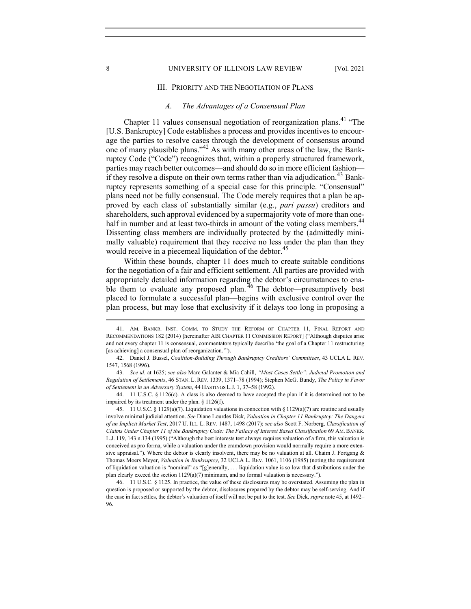#### 8 UNIVERSITY OF ILLINOIS LAW REVIEW [Vol. 2021

## III. PRIORITY AND THE NEGOTIATION OF PLANS

# A. The Advantages of a Consensual Plan

Chapter 11 values consensual negotiation of reorganization plans.<sup>41</sup> "The [U.S. Bankruptcy] Code establishes a process and provides incentives to encourage the parties to resolve cases through the development of consensus around one of many plausible plans."42 As with many other areas of the law, the Bankruptcy Code ("Code") recognizes that, within a properly structured framework, parties may reach better outcomes—and should do so in more efficient fashion if they resolve a dispute on their own terms rather than via adjudication.<sup>43</sup> Bankruptcy represents something of a special case for this principle. "Consensual" plans need not be fully consensual. The Code merely requires that a plan be approved by each class of substantially similar (e.g., pari passu) creditors and shareholders, such approval evidenced by a supermajority vote of more than onehalf in number and at least two-thirds in amount of the voting class members.<sup>44</sup> Dissenting class members are individually protected by the (admittedly minimally valuable) requirement that they receive no less under the plan than they would receive in a piecemeal liquidation of the debtor.<sup>45</sup>

Within these bounds, chapter 11 does much to create suitable conditions for the negotiation of a fair and efficient settlement. All parties are provided with appropriately detailed information regarding the debtor's circumstances to enable them to evaluate any proposed plan.<sup>46</sup> The debtor—presumptively best placed to formulate a successful plan—begins with exclusive control over the plan process, but may lose that exclusivity if it delays too long in proposing a

 <sup>41.</sup> AM. BANKR. INST. COMM. TO STUDY THE REFORM OF CHAPTER 11, FINAL REPORT AND RECOMMENDATIONS 182 (2014) [hereinafter ABI CHAPTER 11 COMMISSION REPORT] ("Although disputes arise and not every chapter 11 is consensual, commentators typically describe 'the goal of a Chapter 11 restructuring [as achieving] a consensual plan of reorganization."").

 <sup>42.</sup> Daniel J. Bussel, Coalition-Building Through Bankruptcy Creditors' Committees, 43 UCLA L. REV. 1547, 1568 (1996).

<sup>43.</sup> See id. at 1625; see also Marc Galanter & Mia Cahill, "Most Cases Settle": Judicial Promotion and Regulation of Settlements, 46 STAN. L. REV. 1339, 1371–78 (1994); Stephen McG. Bundy, The Policy in Favor of Settlement in an Adversary System, 44 HASTINGS L.J. 1, 37–58 (1992).

 <sup>44. 11</sup> U.S.C. § 1126(c). A class is also deemed to have accepted the plan if it is determined not to be impaired by its treatment under the plan. § 1126(f).

 <sup>45. 11</sup> U.S.C. § 1129(a)(7). Liquidation valuations in connection with § 1129(a)(7) are routine and usually involve minimal judicial attention. See Diane Lourdes Dick, Valuation in Chapter 11 Bankruptcy: The Dangers of an Implicit Market Test, 2017 U. ILL. L. REV. 1487, 1498 (2017); see also Scott F. Norberg, Classification of Claims Under Chapter 11 of the Bankruptcy Code: The Fallacy of Interest Based Classification 69 AM. BANKR. L.J. 119, 143 n.134 (1995) ("Although the best interests test always requires valuation of a firm, this valuation is conceived as pro forma, while a valuation under the cramdown provision would normally require a more extensive appraisal."). Where the debtor is clearly insolvent, there may be no valuation at all. Chaim J. Fortgang & Thomas Moers Meyer, Valuation in Bankruptcy, 32 UCLA L. REV. 1061, 1106 (1985) (noting the requirement of liquidation valuation is "nominal" as "[g]enerally, . . . liquidation value is so low that distributions under the plan clearly exceed the section  $1129(a)(7)$  minimum, and no formal valuation is necessary.").

 <sup>46. 11</sup> U.S.C. § 1125. In practice, the value of these disclosures may be overstated. Assuming the plan in question is proposed or supported by the debtor, disclosures prepared by the debtor may be self-serving. And if the case in fact settles, the debtor's valuation of itself will not be put to the test. See Dick, supra note 45, at 1492– 96.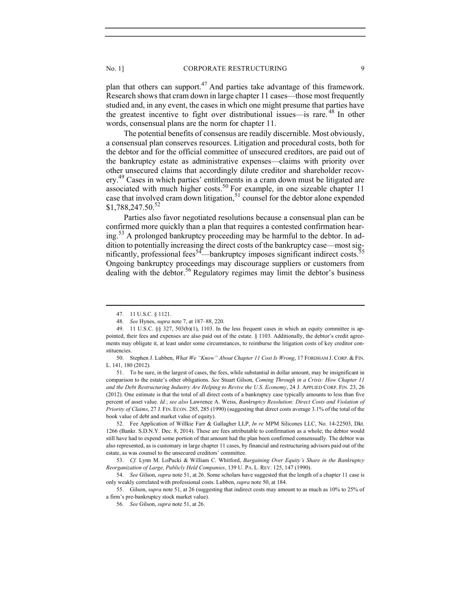plan that others can support.<sup>47</sup> And parties take advantage of this framework. Research shows that cram down in large chapter 11 cases—those most frequently studied and, in any event, the cases in which one might presume that parties have the greatest incentive to fight over distributional issues—is rare.<sup>48</sup> In other words, consensual plans are the norm for chapter 11.

The potential benefits of consensus are readily discernible. Most obviously, a consensual plan conserves resources. Litigation and procedural costs, both for the debtor and for the official committee of unsecured creditors, are paid out of the bankruptcy estate as administrative expenses—claims with priority over other unsecured claims that accordingly dilute creditor and shareholder recovery.<sup>49</sup> Cases in which parties' entitlements in a cram down must be litigated are associated with much higher costs.<sup>50</sup> For example, in one sizeable chapter 11 case that involved cram down litigation,<sup>51</sup> counsel for the debtor alone expended \$1,788,247.50.<sup>52</sup>

Parties also favor negotiated resolutions because a consensual plan can be confirmed more quickly than a plan that requires a contested confirmation hearing.53 A prolonged bankruptcy proceeding may be harmful to the debtor. In addition to potentially increasing the direct costs of the bankruptcy case—most significantly, professional fees<sup>54</sup>—bankruptcy imposes significant indirect costs.<sup>55</sup> Ongoing bankruptcy proceedings may discourage suppliers or customers from dealing with the debtor.<sup>56</sup> Regulatory regimes may limit the debtor's business

 51. To be sure, in the largest of cases, the fees, while substantial in dollar amount, may be insignificant in comparison to the estate's other obligations. See Stuart Gilson, Coming Through in a Crisis: How Chapter 11 and the Debt Restructuring Industry Are Helping to Revive the U.S. Economy, 24 J. APPLIED CORP. FIN. 23, 26 (2012). One estimate is that the total of all direct costs of a bankruptcy case typically amounts to less than five percent of asset value. Id.; see also Lawrence A. Weiss, Bankruptcy Resolution: Direct Costs and Violation of Priority of Claims, 27 J. FIN. ECON. 285, 285 (1990) (suggesting that direct costs average 3.1% of the total of the book value of debt and market value of equity).

 <sup>47. 11</sup> U.S.C. § 1121.

 <sup>48.</sup> See Hynes, supra note 7, at 187–88, 220.

 <sup>49. 11</sup> U.S.C. §§ 327, 503(b)(1), 1103. In the less frequent cases in which an equity committee is appointed, their fees and expenses are also paid out of the estate. § 1103. Additionally, the debtor's credit agreements may obligate it, at least under some circumstances, to reimburse the litigation costs of key creditor constituencies.

 <sup>50.</sup> Stephen J. Lubben, What We "Know" About Chapter 11 Cost Is Wrong, 17 FORDHAM J. CORP. & FIN. L. 141, 180 (2012).

 <sup>52.</sup> Fee Application of Willkie Farr & Gallagher LLP, In re MPM Silicones LLC, No. 14-22503, Dkt. 1266 (Bankr. S.D.N.Y. Dec. 8, 2014). These are fees attributable to confirmation as a whole; the debtor would still have had to expend some portion of that amount had the plan been confirmed consensually. The debtor was also represented, as is customary in large chapter 11 cases, by financial and restructuring advisors paid out of the estate, as was counsel to the unsecured creditors' committee.

 <sup>53.</sup> Cf. Lynn M. LoPucki & William C. Whitford, Bargaining Over Equity's Share in the Bankruptcy Reorganization of Large, Publicly Held Companies, 139 U. PA. L. REV. 125, 147 (1990).

<sup>54.</sup> See Gilson, *supra* note 51, at 26. Some scholars have suggested that the length of a chapter 11 case is only weakly correlated with professional costs. Lubben, supra note 50, at 184.

 <sup>55.</sup> Gilson, supra note 51, at 26 (suggesting that indirect costs may amount to as much as 10% to 25% of a firm's pre-bankruptcy stock market value).

 <sup>56.</sup> See Gilson, supra note 51, at 26.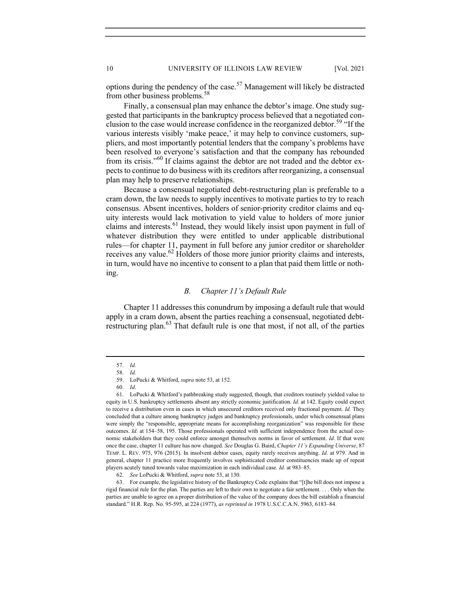options during the pendency of the case.<sup>57</sup> Management will likely be distracted from other business problems.<sup>58</sup>

Finally, a consensual plan may enhance the debtor's image. One study suggested that participants in the bankruptcy process believed that a negotiated conclusion to the case would increase confidence in the reorganized debtor.<sup>59</sup> "If the various interests visibly 'make peace,' it may help to convince customers, suppliers, and most importantly potential lenders that the company's problems have been resolved to everyone's satisfaction and that the company has rebounded from its crisis."<sup>60</sup> If claims against the debtor are not traded and the debtor expects to continue to do business with its creditors after reorganizing, a consensual plan may help to preserve relationships.

Because a consensual negotiated debt-restructuring plan is preferable to a cram down, the law needs to supply incentives to motivate parties to try to reach consensus. Absent incentives, holders of senior-priority creditor claims and equity interests would lack motivation to yield value to holders of more junior claims and interests.<sup>61</sup> Instead, they would likely insist upon payment in full of whatever distribution they were entitled to under applicable distributional rules—for chapter 11, payment in full before any junior creditor or shareholder receives any value.<sup>62</sup> Holders of those more junior priority claims and interests, in turn, would have no incentive to consent to a plan that paid them little or nothing.

# B. Chapter 11's Default Rule

Chapter 11 addresses this conundrum by imposing a default rule that would apply in a cram down, absent the parties reaching a consensual, negotiated debtrestructuring plan.<sup>63</sup> That default rule is one that most, if not all, of the parties

 <sup>57.</sup> Id.

 <sup>58.</sup> Id.

 <sup>59.</sup> LoPucki & Whitford, supra note 53, at 152.

 <sup>60.</sup> Id.

 <sup>61.</sup> LoPucki & Whitford's pathbreaking study suggested, though, that creditors routinely yielded value to equity in U.S. bankruptcy settlements absent any strictly economic justification. Id. at 142. Equity could expect to receive a distribution even in cases in which unsecured creditors received only fractional payment. Id. They concluded that a culture among bankruptcy judges and bankruptcy professionals, under which consensual plans were simply the "responsible, appropriate means for accomplishing reorganization" was responsible for these outcomes. Id. at 154–58, 195. Those professionals operated with sufficient independence from the actual economic stakeholders that they could enforce amongst themselves norms in favor of settlement. Id. If that were once the case, chapter 11 culture has now changed. See Douglas G. Baird, Chapter 11's Expanding Universe, 87 TEMP. L. REV. 975, 976 (2015). In insolvent debtor cases, equity rarely receives anything. Id. at 979. And in general, chapter 11 practice more frequently involves sophisticated creditor constituencies made up of repeat players acutely tuned towards value maximization in each individual case. Id. at 983–85.

 <sup>62.</sup> See LoPucki & Whitford, supra note 53, at 130.

 <sup>63.</sup> For example, the legislative history of the Bankruptcy Code explains that "[t]he bill does not impose a rigid financial rule for the plan. The parties are left to their own to negotiate a fair settlement. . . . Only when the parties are unable to agree on a proper distribution of the value of the company does the bill establish a financial standard." H.R. Rep. No. 95-595, at 224 (1977), as reprinted in 1978 U.S.C.C.A.N. 5963, 6183–84.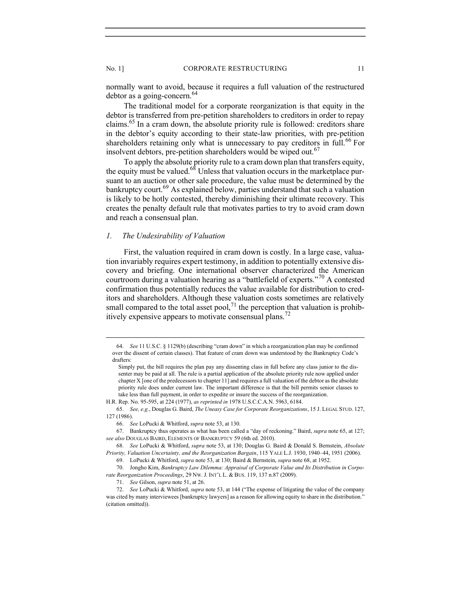normally want to avoid, because it requires a full valuation of the restructured debtor as a going-concern.<sup>64</sup>

The traditional model for a corporate reorganization is that equity in the debtor is transferred from pre-petition shareholders to creditors in order to repay claims.<sup>65</sup> In a cram down, the absolute priority rule is followed: creditors share in the debtor's equity according to their state-law priorities, with pre-petition shareholders retaining only what is unnecessary to pay creditors in full.<sup>66</sup> For insolvent debtors, pre-petition shareholders would be wiped out.<sup>67</sup>

To apply the absolute priority rule to a cram down plan that transfers equity, the equity must be valued.<sup>68</sup> Unless that valuation occurs in the marketplace pursuant to an auction or other sale procedure, the value must be determined by the bankruptcy court.<sup>69</sup> As explained below, parties understand that such a valuation is likely to be hotly contested, thereby diminishing their ultimate recovery. This creates the penalty default rule that motivates parties to try to avoid cram down and reach a consensual plan.

# 1. The Undesirability of Valuation

First, the valuation required in cram down is costly. In a large case, valuation invariably requires expert testimony, in addition to potentially extensive discovery and briefing. One international observer characterized the American courtroom during a valuation hearing as a "battlefield of experts."70 A contested confirmation thus potentially reduces the value available for distribution to creditors and shareholders. Although these valuation costs sometimes are relatively small compared to the total asset pool,<sup>71</sup> the perception that valuation is prohibitively expensive appears to motivate consensual plans.<sup>72</sup>

 <sup>64.</sup> See 11 U.S.C. § 1129(b) (describing "cram down" in which a reorganization plan may be confirmed over the dissent of certain classes). That feature of cram down was understood by the Bankruptcy Code's drafters:

Simply put, the bill requires the plan pay any dissenting class in full before any class junior to the dissenter may be paid at all. The rule is a partial application of the absolute priority rule now applied under chapter X [one of the predecessors to chapter 11] and requires a full valuation of the debtor as the absolute priority rule does under current law. The important difference is that the bill permits senior classes to take less than full payment, in order to expedite or insure the success of the reorganization.

H.R. Rep. No. 95-595, at 224 (1977), as reprinted in 1978 U.S.C.C.A.N. 5963, 6184.

 <sup>65.</sup> See, e.g., Douglas G. Baird, The Uneasy Case for Corporate Reorganizations, 15 J. LEGAL STUD. 127, 127 (1986).

 <sup>66.</sup> See LoPucki & Whitford, supra note 53, at 130.

 <sup>67.</sup> Bankruptcy thus operates as what has been called a "day of reckoning." Baird, supra note 65, at 127; see also DOUGLAS BAIRD, ELEMENTS OF BANKRUPTCY 59 (6th ed. 2010).

 <sup>68.</sup> See LoPucki & Whitford, supra note 53, at 130; Douglas G. Baird & Donald S. Bernstein, Absolute Priority, Valuation Uncertainty, and the Reorganization Bargain, 115 YALE L.J. 1930, 1940–44, 1951 (2006).

 <sup>69.</sup> LoPucki & Whitford, supra note 53, at 130; Baird & Bernstein, supra note 68, at 1952.

 <sup>70.</sup> Jongho Kim, Bankruptcy Law Dilemma: Appraisal of Corporate Value and Its Distribution in Corporate Reorganization Proceedings, 29 Nw. J. INT'L L. & BUS. 119, 137 n.87 (2009).

 <sup>71.</sup> See Gilson, supra note 51, at 26.

 <sup>72.</sup> See LoPucki & Whitford, supra note 53, at 144 ("The expense of litigating the value of the company was cited by many interviewees [bankruptcy lawyers] as a reason for allowing equity to share in the distribution." (citation omitted)).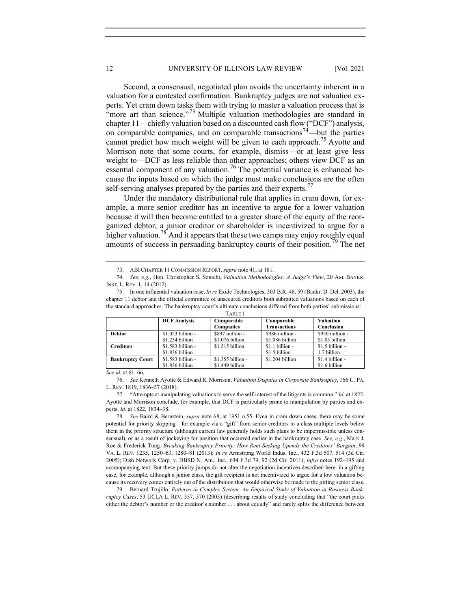Second, a consensual, negotiated plan avoids the uncertainty inherent in a valuation for a contested confirmation. Bankruptcy judges are not valuation experts. Yet cram down tasks them with trying to master a valuation process that is "more art than science."<sup>73</sup> Multiple valuation methodologies are standard in chapter 11—chiefly valuation based on a discounted cash flow ("DCF") analysis, on comparable companies, and on comparable transactions<sup>74</sup>—but the parties cannot predict how much weight will be given to each approach.<sup>75</sup> Ayotte and Morrison note that some courts, for example, dismiss—or at least give less weight to—DCF as less reliable than other approaches; others view DCF as an essential component of any valuation.<sup>76</sup> The potential variance is enhanced because the inputs based on which the judge must make conclusions are the often self-serving analyses prepared by the parties and their experts.<sup>77</sup>

Under the mandatory distributional rule that applies in cram down, for example, a more senior creditor has an incentive to argue for a lower valuation because it will then become entitled to a greater share of the equity of the reorganized debtor; a junior creditor or shareholder is incentivized to argue for a higher valuation.<sup>78</sup> And it appears that these two camps may enjoy roughly equal amounts of success in persuading bankruptcy courts of their position.<sup>79</sup> The net

 <sup>75.</sup> In one influential valuation case, In re Exide Technologies, 303 B.R. 48, 59 (Bankr. D. Del. 2003), the chapter 11 debtor and the official committee of unsecured creditors both submitted valuations based on each of the standard approaches. The bankruptcy court's ultimate conclusions differed from both parties' submissions:

| TABLE 1                 |                     |                    |                     |                    |  |  |
|-------------------------|---------------------|--------------------|---------------------|--------------------|--|--|
|                         | <b>DCF</b> Analysis | Comparable         | Comparable          | <b>Valuation</b>   |  |  |
|                         |                     | <b>Companies</b>   | <b>Transactions</b> | Conclusion         |  |  |
| <b>Debtor</b>           | $$1.023 billion -$  | $$897$ million -   | $$986$ million -    | $$950$ million -   |  |  |
|                         | $$1.254$ billion    | \$1.076 billion    | \$1.086 billion     | \$1.05 billion     |  |  |
| <b>Creditors</b>        | $$1.583$ billion -  | $$1.515$ billion   | $$1.1 billion -$    | $$1.5$ billion $-$ |  |  |
|                         | \$1.836 billion     |                    | \$1.5 billion       | 1.7 billion        |  |  |
| <b>Bankruptcy Court</b> | $$1.583$ billion -  | $$1.355$ billion - | \$1.204 billion     | $$1.4$ billion -   |  |  |
|                         | \$1.836 billion     | \$1.449 billion    |                     | \$1.6 billion      |  |  |

See id. at 61–66.

 76. See Kenneth Ayotte & Edward R. Morrison, Valuation Disputes in Corporate Bankruptcy, 166 U. PA. L. REV. 1819, 1836–37 (2018).

 77. "Attempts at manipulating valuations to serve the self-interest of the litigants is common." Id. at 1822. Ayotte and Morrison conclude, for example, that DCF is particularly prone to manipulation by parties and experts. Id. at 1822, 1834–38.

 78. See Baird & Bernstein, supra note 68, at 1951 n.55. Even in cram down cases, there may be some potential for priority skipping—for example via a "gift" from senior creditors to a class multiple levels below them in the priority structure (although current law generally holds such plans to be impermissible unless consensual), or as a result of jockeying for position that occurred earlier in the bankruptcy case. See, e.g., Mark J. Roe & Frederick Tung, Breaking Bankruptcy Priority: How Rent-Seeking Upends the Creditors' Bargain, 99 VA. L. REV. 1235, 1250–63, 1280–81 (2013); In re Armstrong World Indus. Inc., 432 F.3d 507, 514 (3d Cir. 2005); Dish Network Corp. v. DBSD N. Am., Inc., 634 F.3d 79, 92 (2d Cir. 2011); infra notes 192–195 and accompanying text. But these priority-jumps do not alter the negotiation incentives described here: in a gifting case, for example, although a junior class, the gift recipient is not incentivized to argue for a low valuation because its recovery comes entirely out of the distribution that would otherwise be made to the gifting senior class.

 79. Bernard Trujillo, Patterns in Complex System: An Empirical Study of Valuation in Business Bankruptcy Cases, 53 UCLA L. REV. 357, 370 (2005) (describing results of study concluding that "the court picks either the debtor's number or the creditor's number . . . about equally" and rarely splits the difference between

 <sup>73.</sup> ABI CHAPTER 11 COMMISSION REPORT, supra note 41, at 181.

<sup>74.</sup> See, e.g., Hon. Christopher S. Sontchi, Valuation Methodologies: A Judge's View, 20 AM. BANKR. INST. L. REV. 1, 14 (2012).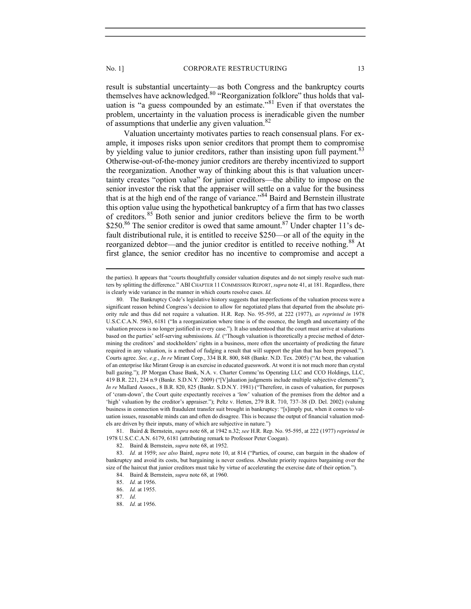result is substantial uncertainty—as both Congress and the bankruptcy courts themselves have acknowledged.<sup>80</sup> "Reorganization folklore" thus holds that valuation is "a guess compounded by an estimate."<sup>81</sup> Even if that overstates the problem, uncertainty in the valuation process is ineradicable given the number of assumptions that underlie any given valuation. $82$ 

Valuation uncertainty motivates parties to reach consensual plans. For example, it imposes risks upon senior creditors that prompt them to compromise by yielding value to junior creditors, rather than insisting upon full payment.<sup>83</sup> Otherwise-out-of-the-money junior creditors are thereby incentivized to support the reorganization. Another way of thinking about this is that valuation uncertainty creates "option value" for junior creditors—the ability to impose on the senior investor the risk that the appraiser will settle on a value for the business that is at the high end of the range of variance."<sup>84</sup> Baird and Bernstein illustrate this option value using the hypothetical bankruptcy of a firm that has two classes of creditors.85 Both senior and junior creditors believe the firm to be worth \$250.86 The senior creditor is owed that same amount.<sup>87</sup> Under chapter 11's default distributional rule, it is entitled to receive \$250—or all of the equity in the reorganized debtor—and the junior creditor is entitled to receive nothing.<sup>88</sup> At first glance, the senior creditor has no incentive to compromise and accept a

the parties). It appears that "courts thoughtfully consider valuation disputes and do not simply resolve such matters by splitting the difference." ABI CHAPTER 11 COMMISSION REPORT, supra note 41, at 181. Regardless, there is clearly wide variance in the manner in which courts resolve cases. Id.

 <sup>80.</sup> The Bankruptcy Code's legislative history suggests that imperfections of the valuation process were a significant reason behind Congress's decision to allow for negotiated plans that departed from the absolute priority rule and thus did not require a valuation. H.R. Rep. No. 95-595, at 222 (1977), as reprinted in 1978 U.S.C.C.A.N. 5963, 6181 ("In a reorganization where time is of the essence, the length and uncertainty of the valuation process is no longer justified in every case."). It also understood that the court must arrive at valuations based on the parties' self-serving submissions. Id. ("Though valuation is theoretically a precise method of determining the creditors' and stockholders' rights in a business, more often the uncertainty of predicting the future required in any valuation, is a method of fudging a result that will support the plan that has been proposed."). Courts agree. See, e.g., In re Mirant Corp., 334 B.R. 800, 848 (Bankr. N.D. Tex. 2005) ("At best, the valuation of an enterprise like Mirant Group is an exercise in educated guesswork. At worst it is not much more than crystal ball gazing."); JP Morgan Chase Bank, N.A. v. Charter Commc'ns Operating LLC and CCO Holdings, LLC, 419 B.R. 221, 234 n.9 (Bankr. S.D.N.Y. 2009) ("[V]aluation judgments include multiple subjective elements"); In re Mallard Assocs., 8 B.R. 820, 825 (Bankr. S.D.N.Y. 1981) ("Therefore, in cases of valuation, for purposes of 'cram-down', the Court quite expectantly receives a 'low' valuation of the premises from the debtor and a 'high' valuation by the creditor's appraiser."); Peltz v. Hetten, 279 B.R. 710, 737–38 (D. Del. 2002) (valuing business in connection with fraudulent transfer suit brought in bankruptcy: "[s]imply put, when it comes to valuation issues, reasonable minds can and often do disagree. This is because the output of financial valuation models are driven by their inputs, many of which are subjective in nature.")

 <sup>81.</sup> Baird & Bernstein, supra note 68, at 1942 n.32; see H.R. Rep. No. 95-595, at 222 (1977) reprinted in 1978 U.S.C.C.A.N. 6179, 6181 (attributing remark to Professor Peter Coogan).

<sup>82.</sup> Baird & Bernstein, *supra* note 68, at 1952.

<sup>83.</sup> Id. at 1959; see also Baird, supra note 10, at 814 ("Parties, of course, can bargain in the shadow of bankruptcy and avoid its costs, but bargaining is never costless. Absolute priority requires bargaining over the size of the haircut that junior creditors must take by virtue of accelerating the exercise date of their option.").

 <sup>84.</sup> Baird & Bernstein, supra note 68, at 1960.

 <sup>85.</sup> Id. at 1956.

 <sup>86.</sup> Id. at 1955.

 <sup>87.</sup> Id.

 <sup>88.</sup> Id. at 1956.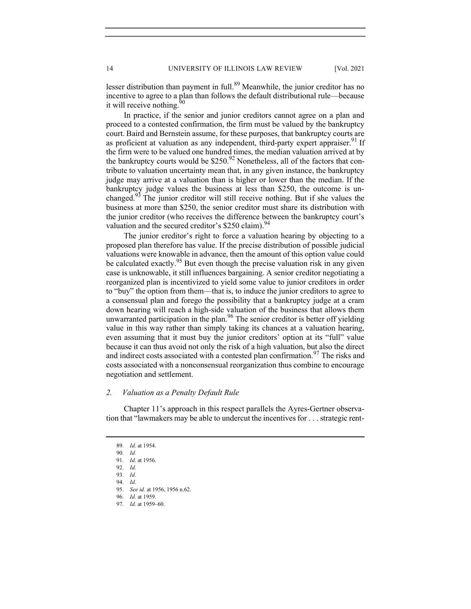lesser distribution than payment in full.<sup>89</sup> Meanwhile, the junior creditor has no incentive to agree to a plan than follows the default distributional rule—because it will receive nothing.

In practice, if the senior and junior creditors cannot agree on a plan and proceed to a contested confirmation, the firm must be valued by the bankruptcy court. Baird and Bernstein assume, for these purposes, that bankruptcy courts are as proficient at valuation as any independent, third-party expert appraiser.<sup>91</sup> If the firm were to be valued one hundred times, the median valuation arrived at by the bankruptcy courts would be  $$250.<sup>92</sup>$  Nonetheless, all of the factors that contribute to valuation uncertainty mean that, in any given instance, the bankruptcy judge may arrive at a valuation than is higher or lower than the median. If the bankruptcy judge values the business at less than \$250, the outcome is unchanged.93 The junior creditor will still receive nothing. But if she values the business at more than \$250, the senior creditor must share its distribution with the junior creditor (who receives the difference between the bankruptcy court's valuation and the secured creditor's  $$250$  claim).<sup>94</sup>

The junior creditor's right to force a valuation hearing by objecting to a proposed plan therefore has value. If the precise distribution of possible judicial valuations were knowable in advance, then the amount of this option value could be calculated exactly.<sup>95</sup> But even though the precise valuation risk in any given case is unknowable, it still influences bargaining. A senior creditor negotiating a reorganized plan is incentivized to yield some value to junior creditors in order to "buy" the option from them—that is, to induce the junior creditors to agree to a consensual plan and forego the possibility that a bankruptcy judge at a cram down hearing will reach a high-side valuation of the business that allows them unwarranted participation in the plan.<sup>96</sup> The senior creditor is better off yielding value in this way rather than simply taking its chances at a valuation hearing, even assuming that it must buy the junior creditors' option at its "full" value because it can thus avoid not only the risk of a high valuation, but also the direct and indirect costs associated with a contested plan confirmation.<sup>97</sup> The risks and costs associated with a nonconsensual reorganization thus combine to encourage negotiation and settlement.

## 2. Valuation as a Penalty Default Rule

Chapter 11's approach in this respect parallels the Ayres-Gertner observation that "lawmakers may be able to undercut the incentives for . . . strategic rent-

 <sup>89.</sup> Id. at 1954.

 <sup>90.</sup> Id. 91. Id. at 1956.

 <sup>92.</sup> Id.

 <sup>93.</sup> Id.

 <sup>94.</sup> Id.

 <sup>95.</sup> See id. at 1956, 1956 n.62.

 <sup>96.</sup> Id. at 1959.

 <sup>97.</sup> Id. at 1959–60.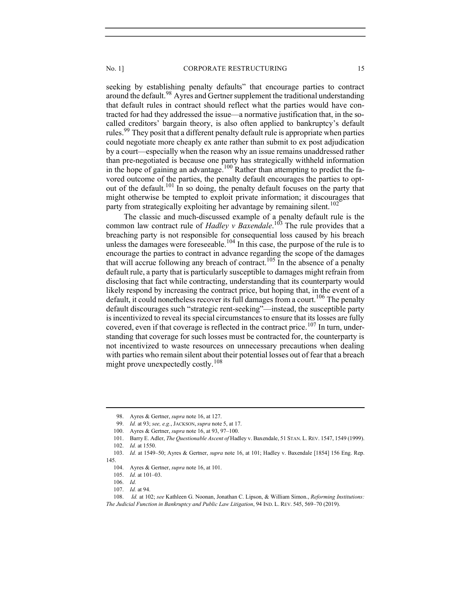seeking by establishing penalty defaults" that encourage parties to contract around the default.<sup>98</sup> Ayres and Gertner supplement the traditional understanding that default rules in contract should reflect what the parties would have contracted for had they addressed the issue—a normative justification that, in the socalled creditors' bargain theory, is also often applied to bankruptcy's default rules.<sup>99</sup> They posit that a different penalty default rule is appropriate when parties could negotiate more cheaply ex ante rather than submit to ex post adjudication by a court—especially when the reason why an issue remains unaddressed rather than pre-negotiated is because one party has strategically withheld information in the hope of gaining an advantage.<sup>100</sup> Rather than attempting to predict the favored outcome of the parties, the penalty default encourages the parties to optout of the default.101 In so doing, the penalty default focuses on the party that might otherwise be tempted to exploit private information; it discourages that party from strategically exploiting her advantage by remaining silent.<sup>102</sup>

The classic and much-discussed example of a penalty default rule is the common law contract rule of *Hadley v Baxendale*.<sup>103</sup> The rule provides that a breaching party is not responsible for consequential loss caused by his breach unless the damages were foreseeable.<sup>104</sup> In this case, the purpose of the rule is to encourage the parties to contract in advance regarding the scope of the damages that will accrue following any breach of contract.<sup>105</sup> In the absence of a penalty default rule, a party that is particularly susceptible to damages might refrain from disclosing that fact while contracting, understanding that its counterparty would likely respond by increasing the contract price, but hoping that, in the event of a default, it could nonetheless recover its full damages from a court.<sup>106</sup> The penalty default discourages such "strategic rent-seeking"—instead, the susceptible party is incentivized to reveal its special circumstances to ensure that its losses are fully covered, even if that coverage is reflected in the contract price.<sup>107</sup> In turn, understanding that coverage for such losses must be contracted for, the counterparty is not incentivized to waste resources on unnecessary precautions when dealing with parties who remain silent about their potential losses out of fear that a breach might prove unexpectedly costly.<sup>108</sup>

<sup>98.</sup> Ayres & Gertner, *supra* note 16, at 127.

<sup>99.</sup> Id. at 93; see, e.g., JACKSON, supra note 5, at 17.

<sup>100.</sup> Ayres & Gertner, *supra* note 16, at 93, 97–100.

 <sup>101.</sup> Barry E. Adler, The Questionable Ascent of Hadley v. Baxendale, 51 STAN.L.REV. 1547, 1549 (1999). 102. Id. at 1550.

<sup>103.</sup> Id. at 1549-50; Ayres & Gertner, supra note 16, at 101; Hadley v. Baxendale [1854] 156 Eng. Rep. 145.

<sup>104.</sup> Avres & Gertner, *supra* note 16, at 101.

 <sup>105.</sup> Id. at 101–03.

 <sup>106.</sup> Id.

 <sup>107.</sup> Id. at 94.

 <sup>108.</sup> Id. at 102; see Kathleen G. Noonan, Jonathan C. Lipson, & William Simon., Reforming Institutions: The Judicial Function in Bankruptcy and Public Law Litigation, 94 IND. L. REV. 545, 569–70 (2019).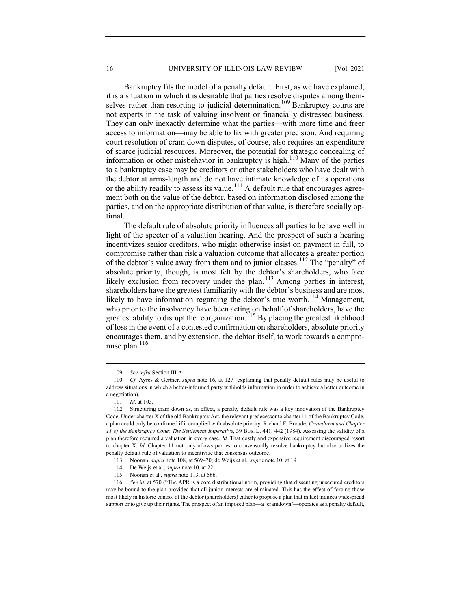Bankruptcy fits the model of a penalty default. First, as we have explained, it is a situation in which it is desirable that parties resolve disputes among themselves rather than resorting to judicial determination.<sup>109</sup> Bankruptcy courts are not experts in the task of valuing insolvent or financially distressed business. They can only inexactly determine what the parties—with more time and freer access to information—may be able to fix with greater precision. And requiring court resolution of cram down disputes, of course, also requires an expenditure of scarce judicial resources. Moreover, the potential for strategic concealing of information or other misbehavior in bankruptcy is high.<sup>110</sup> Many of the parties to a bankruptcy case may be creditors or other stakeholders who have dealt with the debtor at arms-length and do not have intimate knowledge of its operations or the ability readily to assess its value.<sup>111</sup> A default rule that encourages agreement both on the value of the debtor, based on information disclosed among the parties, and on the appropriate distribution of that value, is therefore socially optimal.

The default rule of absolute priority influences all parties to behave well in light of the specter of a valuation hearing. And the prospect of such a hearing incentivizes senior creditors, who might otherwise insist on payment in full, to compromise rather than risk a valuation outcome that allocates a greater portion of the debtor's value away from them and to junior classes.<sup>112</sup> The "penalty" of absolute priority, though, is most felt by the debtor's shareholders, who face likely exclusion from recovery under the plan.<sup>113</sup> Among parties in interest, shareholders have the greatest familiarity with the debtor's business and are most likely to have information regarding the debtor's true worth.<sup>114</sup> Management, who prior to the insolvency have been acting on behalf of shareholders, have the greatest ability to disrupt the reorganization.<sup> $115$ </sup> By placing the greatest likelihood of loss in the event of a contested confirmation on shareholders, absolute priority encourages them, and by extension, the debtor itself, to work towards a compromise plan. $116$ 

 <sup>109.</sup> See infra Section III.A.

<sup>110.</sup> Cf. Ayres & Gertner, *supra* note 16, at 127 (explaining that penalty default rules may be useful to address situations in which a better-informed party withholds information in order to achieve a better outcome in a negotiation).

 <sup>111.</sup> Id. at 103.

 <sup>112.</sup> Structuring cram down as, in effect, a penalty default rule was a key innovation of the Bankruptcy Code. Under chapter X of the old Bankruptcy Act, the relevant predecessor to chapter 11 of the Bankruptcy Code, a plan could only be confirmed if it complied with absolute priority. Richard F. Broude, Cramdown and Chapter 11 of the Bankruptcy Code: The Settlement Imperative, 39 BUS. L. 441, 442 (1984). Assessing the validity of a plan therefore required a valuation in every case. Id. That costly and expensive requirement discouraged resort to chapter X. Id. Chapter 11 not only allows parties to consensually resolve bankruptcy but also utilizes the penalty default rule of valuation to incentivize that consensus outcome.

 <sup>113.</sup> Noonan, supra note 108, at 569–70; de Weijs et al., supra note 10, at 19.

 <sup>114.</sup> De Weijs et al., supra note 10, at 22.

 <sup>115.</sup> Noonan et al., supra note 113, at 566.

 <sup>116.</sup> See id. at 570 ("The APR is a core distributional norm, providing that dissenting unsecured creditors may be bound to the plan provided that all junior interests are eliminated. This has the effect of forcing those most likely in historic control of the debtor (shareholders) either to propose a plan that in fact induces widespread support or to give up their rights. The prospect of an imposed plan—a 'cramdown'—operates as a penalty default,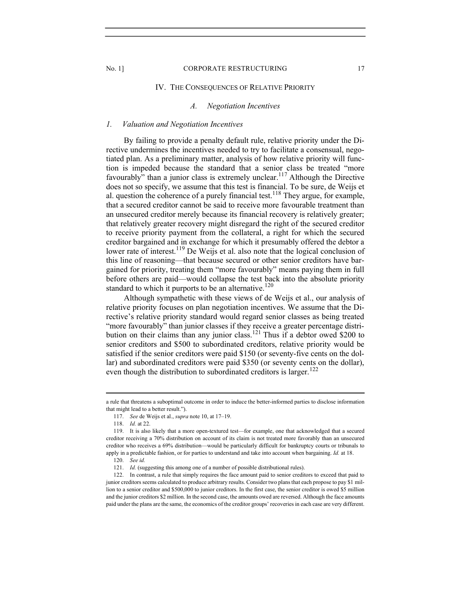## IV. THE CONSEQUENCES OF RELATIVE PRIORITY

## A. Negotiation Incentives

### 1. Valuation and Negotiation Incentives

By failing to provide a penalty default rule, relative priority under the Directive undermines the incentives needed to try to facilitate a consensual, negotiated plan. As a preliminary matter, analysis of how relative priority will function is impeded because the standard that a senior class be treated "more favourably" than a junior class is extremely unclear.<sup>117</sup> Although the Directive does not so specify, we assume that this test is financial. To be sure, de Weijs et al. question the coherence of a purely financial test.<sup>118</sup> They argue, for example, that a secured creditor cannot be said to receive more favourable treatment than an unsecured creditor merely because its financial recovery is relatively greater; that relatively greater recovery might disregard the right of the secured creditor to receive priority payment from the collateral, a right for which the secured creditor bargained and in exchange for which it presumably offered the debtor a lower rate of interest.<sup>119</sup> De Weijs et al. also note that the logical conclusion of this line of reasoning—that because secured or other senior creditors have bargained for priority, treating them "more favourably" means paying them in full before others are paid—would collapse the test back into the absolute priority standard to which it purports to be an alternative.<sup>120</sup>

Although sympathetic with these views of de Weijs et al., our analysis of relative priority focuses on plan negotiation incentives. We assume that the Directive's relative priority standard would regard senior classes as being treated "more favourably" than junior classes if they receive a greater percentage distribution on their claims than any junior class.<sup>121</sup> Thus if a debtor owed \$200 to senior creditors and \$500 to subordinated creditors, relative priority would be satisfied if the senior creditors were paid \$150 (or seventy-five cents on the dollar) and subordinated creditors were paid \$350 (or seventy cents on the dollar), even though the distribution to subordinated creditors is larger. $122$ 

a rule that threatens a suboptimal outcome in order to induce the better-informed parties to disclose information that might lead to a better result.").

<sup>117.</sup> See de Weijs et al., *supra* note 10, at 17–19.

 <sup>118.</sup> Id. at 22.

 <sup>119.</sup> It is also likely that a more open-textured test—for example, one that acknowledged that a secured creditor receiving a 70% distribution on account of its claim is not treated more favorably than an unsecured creditor who receives a 69% distribution—would be particularly difficult for bankruptcy courts or tribunals to apply in a predictable fashion, or for parties to understand and take into account when bargaining. Id. at 18.

 <sup>120.</sup> See id.

<sup>121.</sup> Id. (suggesting this among one of a number of possible distributional rules).

 <sup>122.</sup> In contrast, a rule that simply requires the face amount paid to senior creditors to exceed that paid to junior creditors seems calculated to produce arbitrary results. Consider two plans that each propose to pay \$1 million to a senior creditor and \$500,000 to junior creditors. In the first case, the senior creditor is owed \$5 million and the junior creditors \$2 million. In the second case, the amounts owed are reversed. Although the face amounts paid under the plans are the same, the economics of the creditor groups' recoveries in each case are very different.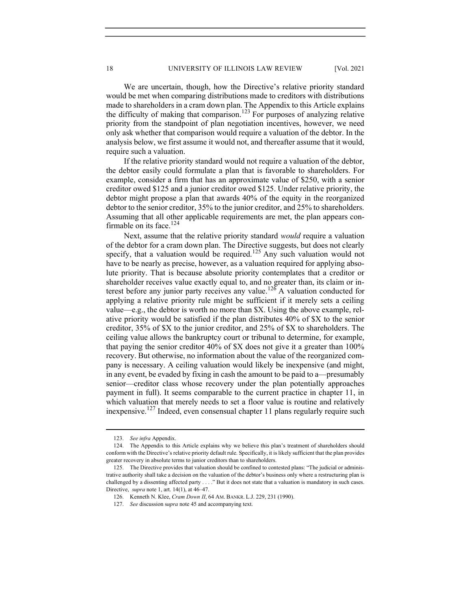We are uncertain, though, how the Directive's relative priority standard would be met when comparing distributions made to creditors with distributions made to shareholders in a cram down plan. The Appendix to this Article explains the difficulty of making that comparison.123 For purposes of analyzing relative priority from the standpoint of plan negotiation incentives, however, we need only ask whether that comparison would require a valuation of the debtor. In the analysis below, we first assume it would not, and thereafter assume that it would, require such a valuation.

If the relative priority standard would not require a valuation of the debtor, the debtor easily could formulate a plan that is favorable to shareholders. For example, consider a firm that has an approximate value of \$250, with a senior creditor owed \$125 and a junior creditor owed \$125. Under relative priority, the debtor might propose a plan that awards 40% of the equity in the reorganized debtor to the senior creditor, 35% to the junior creditor, and 25% to shareholders. Assuming that all other applicable requirements are met, the plan appears confirmable on its face.<sup>124</sup>

Next, assume that the relative priority standard would require a valuation of the debtor for a cram down plan. The Directive suggests, but does not clearly specify, that a valuation would be required.<sup>125</sup> Any such valuation would not have to be nearly as precise, however, as a valuation required for applying absolute priority. That is because absolute priority contemplates that a creditor or shareholder receives value exactly equal to, and no greater than, its claim or interest before any junior party receives any value.<sup>126</sup> A valuation conducted for applying a relative priority rule might be sufficient if it merely sets a ceiling value—e.g., the debtor is worth no more than \$X. Using the above example, relative priority would be satisfied if the plan distributes 40% of \$X to the senior creditor, 35% of \$X to the junior creditor, and 25% of \$X to shareholders. The ceiling value allows the bankruptcy court or tribunal to determine, for example, that paying the senior creditor 40% of \$X does not give it a greater than 100% recovery. But otherwise, no information about the value of the reorganized company is necessary. A ceiling valuation would likely be inexpensive (and might, in any event, be evaded by fixing in cash the amount to be paid to a—presumably senior—creditor class whose recovery under the plan potentially approaches payment in full). It seems comparable to the current practice in chapter 11, in which valuation that merely needs to set a floor value is routine and relatively inexpensive.<sup>127</sup> Indeed, even consensual chapter 11 plans regularly require such

 <sup>123.</sup> See infra Appendix.

 <sup>124.</sup> The Appendix to this Article explains why we believe this plan's treatment of shareholders should conform with the Directive's relative priority default rule. Specifically, it is likely sufficient that the plan provides greater recovery in absolute terms to junior creditors than to shareholders.

 <sup>125.</sup> The Directive provides that valuation should be confined to contested plans: "The judicial or administrative authority shall take a decision on the valuation of the debtor's business only where a restructuring plan is challenged by a dissenting affected party . . . ." But it does not state that a valuation is mandatory in such cases. Directive, supra note 1, art. 14(1), at 46–47.

 <sup>126.</sup> Kenneth N. Klee, Cram Down II, 64 AM. BANKR. L.J. 229, 231 (1990).

 <sup>127.</sup> See discussion supra note 45 and accompanying text.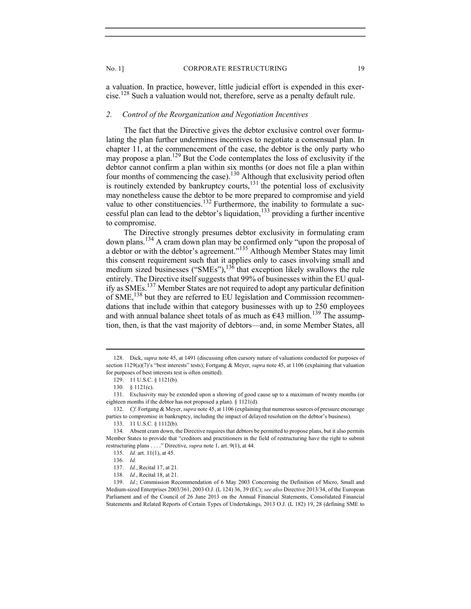a valuation. In practice, however, little judicial effort is expended in this exercise.<sup>128</sup> Such a valuation would not, therefore, serve as a penalty default rule.

# 2. Control of the Reorganization and Negotiation Incentives

The fact that the Directive gives the debtor exclusive control over formulating the plan further undermines incentives to negotiate a consensual plan. In chapter 11, at the commencement of the case, the debtor is the only party who may propose a plan.<sup>129</sup> But the Code contemplates the loss of exclusivity if the debtor cannot confirm a plan within six months (or does not file a plan within four months of commencing the case).<sup>130</sup> Although that exclusivity period often is routinely extended by bankruptcy courts, $^{131}$  the potential loss of exclusivity may nonetheless cause the debtor to be more prepared to compromise and yield value to other constituencies.<sup>132</sup> Furthermore, the inability to formulate a successful plan can lead to the debtor's liquidation, $133$  providing a further incentive to compromise.

The Directive strongly presumes debtor exclusivity in formulating cram down plans.<sup>134</sup> A cram down plan may be confirmed only "upon the proposal of a debtor or with the debtor's agreement."<sup>135</sup> Although Member States may limit this consent requirement such that it applies only to cases involving small and medium sized businesses ("SMEs"), $136$  that exception likely swallows the rule entirely. The Directive itself suggests that 99% of businesses within the EU qualify as SMEs.137 Member States are not required to adopt any particular definition of SME,<sup>138</sup> but they are referred to EU legislation and Commission recommendations that include within that category businesses with up to 250 employees and with annual balance sheet totals of as much as  $\epsilon$ 43 million.<sup>139</sup> The assumption, then, is that the vast majority of debtors—and, in some Member States, all

 <sup>128.</sup> Dick, supra note 45, at 1491 (discussing often cursory nature of valuations conducted for purposes of section 1129(a)(7)'s "best interests" tests); Fortgang & Meyer, *supra* note 45, at 1106 (explaining that valuation for purposes of best interests test is often omitted).

 <sup>129. 11</sup> U.S.C. § 1121(b).

 <sup>130. § 1121(</sup>c).

 <sup>131.</sup> Exclusivity may be extended upon a showing of good cause up to a maximum of twenty months (or eighteen months if the debtor has not proposed a plan). § 1121(d).

<sup>132.</sup> Cf. Fortgang & Meyer, supra note 45, at 1106 (explaining that numerous sources of pressure encourage parties to compromise in bankruptcy, including the impact of delayed resolution on the debtor's business).

 <sup>133. 11</sup> U.S.C. § 1112(b).

 <sup>134.</sup> Absent cram down, the Directive requires that debtors be permitted to propose plans, but it also permits Member States to provide that "creditors and practitioners in the field of restructuring have the right to submit restructuring plans . . . ." Directive, *supra* note 1, art. 9(1), at 44.

 <sup>135.</sup> Id. art. 11(1), at 45.

 <sup>136.</sup> Id.

 <sup>137.</sup> Id., Recital 17, at 21.

 <sup>138.</sup> Id., Recital 18, at 21.

 <sup>139.</sup> Id.; Commission Recommendation of 6 May 2003 Concerning the Definition of Micro, Small and Medium-sized Enterprises 2003/361, 2003 O.J. (L 124) 36, 39 (EC); see also Directive 2013/34, of the European Parliament and of the Council of 26 June 2013 on the Annual Financial Statements, Consolidated Financial Statements and Related Reports of Certain Types of Undertakings, 2013 O.J. (L 182) 19, 28 (defining SME to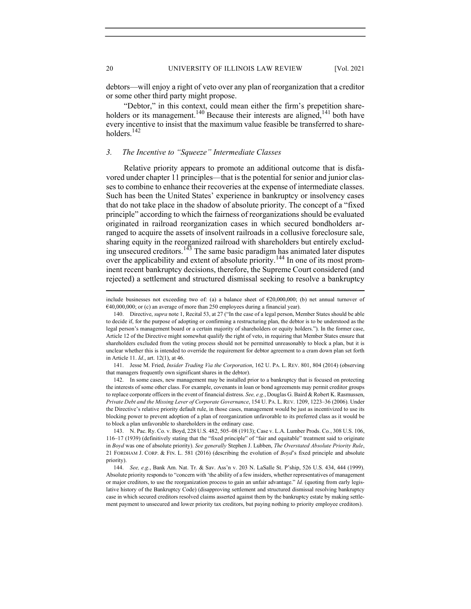debtors—will enjoy a right of veto over any plan of reorganization that a creditor or some other third party might propose.

"Debtor," in this context, could mean either the firm's prepetition shareholders or its management.<sup>140</sup> Because their interests are aligned,<sup>141</sup> both have every incentive to insist that the maximum value feasible be transferred to shareholders.<sup>142</sup>

## 3. The Incentive to "Squeeze" Intermediate Classes

Relative priority appears to promote an additional outcome that is disfavored under chapter 11 principles—that is the potential for senior and junior classes to combine to enhance their recoveries at the expense of intermediate classes. Such has been the United States' experience in bankruptcy or insolvency cases that do not take place in the shadow of absolute priority. The concept of a "fixed principle" according to which the fairness of reorganizations should be evaluated originated in railroad reorganization cases in which secured bondholders arranged to acquire the assets of insolvent railroads in a collusive foreclosure sale, sharing equity in the reorganized railroad with shareholders but entirely excluding unsecured creditors.<sup>143</sup> The same basic paradigm has animated later disputes over the applicability and extent of absolute priority.<sup>144</sup> In one of its most prominent recent bankruptcy decisions, therefore, the Supreme Court considered (and rejected) a settlement and structured dismissal seeking to resolve a bankruptcy

 141. Jesse M. Fried, Insider Trading Via the Corporation, 162 U. PA. L. REV. 801, 804 (2014) (observing that managers frequently own significant shares in the debtor).

 142. In some cases, new management may be installed prior to a bankruptcy that is focused on protecting the interests of some other class. For example, covenants in loan or bond agreements may permit creditor groups to replace corporate officers in the event of financial distress. See, e.g., Douglas G. Baird & Robert K. Rasmussen, Private Debt and the Missing Lever of Corporate Governance, 154 U. PA. L. REV. 1209, 1223–36 (2006). Under the Directive's relative priority default rule, in those cases, management would be just as incentivized to use its blocking power to prevent adoption of a plan of reorganization unfavorable to its preferred class as it would be to block a plan unfavorable to shareholders in the ordinary case.

 143. N. Pac. Ry. Co. v. Boyd, 228 U.S. 482, 505–08 (1913); Case v. L.A. Lumber Prods. Co., 308 U.S. 106, 116–17 (1939) (definitively stating that the "fixed principle" of "fair and equitable" treatment said to originate in Boyd was one of absolute priority). See generally Stephen J. Lubben, The Overstated Absolute Priority Rule, 21 FORDHAM J. CORP. & FIN. L. 581 (2016) (describing the evolution of Boyd's fixed principle and absolute priority).

 144. See, e.g., Bank Am. Nat. Tr. & Sav. Ass'n v. 203 N. LaSalle St. P'ship, 526 U.S. 434, 444 (1999). Absolute priority responds to "concern with 'the ability of a few insiders, whether representatives of management or major creditors, to use the reorganization process to gain an unfair advantage." Id. (quoting from early legislative history of the Bankruptcy Code) (disapproving settlement and structured dismissal resolving bankruptcy case in which secured creditors resolved claims asserted against them by the bankruptcy estate by making settlement payment to unsecured and lower priority tax creditors, but paying nothing to priority employee creditors).

include businesses not exceeding two of: (a) a balance sheet of €20,000,000; (b) net annual turnover of €40,000,000; or (c) an average of more than 250 employees during a financial year).

 <sup>140.</sup> Directive, supra note 1, Recital 53, at 27 ("In the case of a legal person, Member States should be able to decide if, for the purpose of adopting or confirming a restructuring plan, the debtor is to be understood as the legal person's management board or a certain majority of shareholders or equity holders."). In the former case, Article 12 of the Directive might somewhat qualify the right of veto, in requiring that Member States ensure that shareholders excluded from the voting process should not be permitted unreasonably to block a plan, but it is unclear whether this is intended to override the requirement for debtor agreement to a cram down plan set forth in Article 11. Id., art. 12(1), at 46.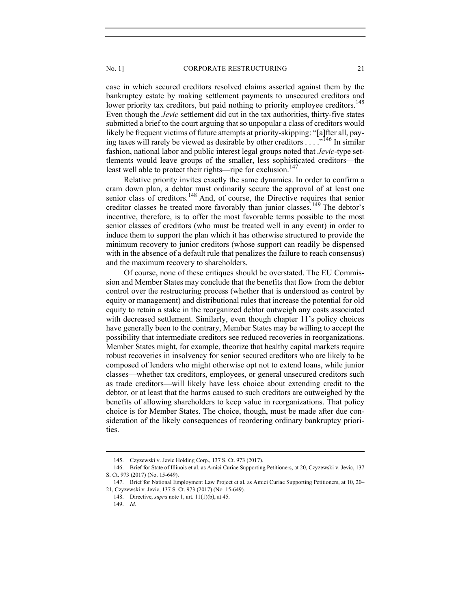case in which secured creditors resolved claims asserted against them by the bankruptcy estate by making settlement payments to unsecured creditors and lower priority tax creditors, but paid nothing to priority employee creditors.<sup>145</sup> Even though the Jevic settlement did cut in the tax authorities, thirty-five states submitted a brief to the court arguing that so unpopular a class of creditors would likely be frequent victims of future attempts at priority-skipping: "[a]fter all, paying taxes will rarely be viewed as desirable by other creditors . . . . .<sup>146</sup> In similar fashion, national labor and public interest legal groups noted that Jevic-type settlements would leave groups of the smaller, less sophisticated creditors—the least well able to protect their rights—ripe for exclusion.<sup>147</sup>

Relative priority invites exactly the same dynamics. In order to confirm a cram down plan, a debtor must ordinarily secure the approval of at least one senior class of creditors.<sup>148</sup> And, of course, the Directive requires that senior creditor classes be treated more favorably than junior classes.<sup>149</sup> The debtor's incentive, therefore, is to offer the most favorable terms possible to the most senior classes of creditors (who must be treated well in any event) in order to induce them to support the plan which it has otherwise structured to provide the minimum recovery to junior creditors (whose support can readily be dispensed with in the absence of a default rule that penalizes the failure to reach consensus) and the maximum recovery to shareholders.

Of course, none of these critiques should be overstated. The EU Commission and Member States may conclude that the benefits that flow from the debtor control over the restructuring process (whether that is understood as control by equity or management) and distributional rules that increase the potential for old equity to retain a stake in the reorganized debtor outweigh any costs associated with decreased settlement. Similarly, even though chapter 11's policy choices have generally been to the contrary, Member States may be willing to accept the possibility that intermediate creditors see reduced recoveries in reorganizations. Member States might, for example, theorize that healthy capital markets require robust recoveries in insolvency for senior secured creditors who are likely to be composed of lenders who might otherwise opt not to extend loans, while junior classes—whether tax creditors, employees, or general unsecured creditors such as trade creditors—will likely have less choice about extending credit to the debtor, or at least that the harms caused to such creditors are outweighed by the benefits of allowing shareholders to keep value in reorganizations. That policy choice is for Member States. The choice, though, must be made after due consideration of the likely consequences of reordering ordinary bankruptcy priorities.

 <sup>145.</sup> Czyzewski v. Jevic Holding Corp., 137 S. Ct. 973 (2017).

 <sup>146.</sup> Brief for State of Illinois et al. as Amici Curiae Supporting Petitioners, at 20, Czyzewski v. Jevic, 137 S. Ct. 973 (2017) (No. 15-649).

 <sup>147.</sup> Brief for National Employment Law Project et al. as Amici Curiae Supporting Petitioners, at 10, 20– 21, Czyzewski v. Jevic, 137 S. Ct. 973 (2017) (No. 15-649).

 <sup>148.</sup> Directive, supra note 1, art. 11(1)(b), at 45.

 <sup>149.</sup> Id.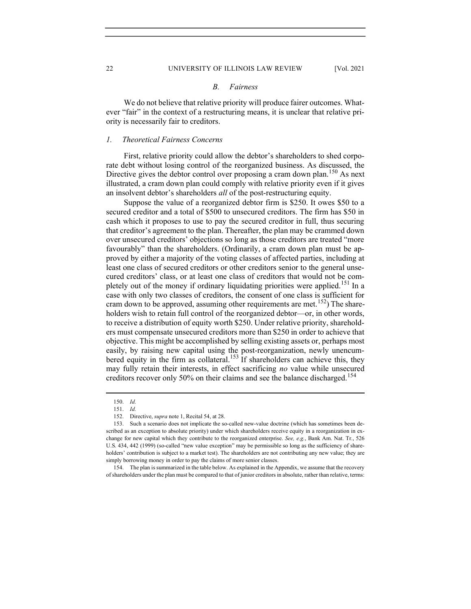#### B. Fairness

We do not believe that relative priority will produce fairer outcomes. Whatever "fair" in the context of a restructuring means, it is unclear that relative priority is necessarily fair to creditors.

## 1. Theoretical Fairness Concerns

First, relative priority could allow the debtor's shareholders to shed corporate debt without losing control of the reorganized business. As discussed, the Directive gives the debtor control over proposing a cram down plan.<sup>150</sup> As next illustrated, a cram down plan could comply with relative priority even if it gives an insolvent debtor's shareholders all of the post-restructuring equity.

Suppose the value of a reorganized debtor firm is \$250. It owes \$50 to a secured creditor and a total of \$500 to unsecured creditors. The firm has \$50 in cash which it proposes to use to pay the secured creditor in full, thus securing that creditor's agreement to the plan. Thereafter, the plan may be crammed down over unsecured creditors' objections so long as those creditors are treated "more favourably" than the shareholders. (Ordinarily, a cram down plan must be approved by either a majority of the voting classes of affected parties, including at least one class of secured creditors or other creditors senior to the general unsecured creditors' class, or at least one class of creditors that would not be completely out of the money if ordinary liquidating priorities were applied.<sup>151</sup> In a case with only two classes of creditors, the consent of one class is sufficient for cram down to be approved, assuming other requirements are met.<sup>152</sup>) The shareholders wish to retain full control of the reorganized debtor—or, in other words, to receive a distribution of equity worth \$250. Under relative priority, shareholders must compensate unsecured creditors more than \$250 in order to achieve that objective. This might be accomplished by selling existing assets or, perhaps most easily, by raising new capital using the post-reorganization, newly unencumbered equity in the firm as collateral.<sup>153</sup> If shareholders can achieve this, they may fully retain their interests, in effect sacrificing no value while unsecured creditors recover only 50% on their claims and see the balance discharged.<sup>154</sup>

152. Directive, supra note 1, Recital 54, at 28.

 154. The plan is summarized in the table below. As explained in the Appendix, we assume that the recovery of shareholders under the plan must be compared to that of junior creditors in absolute, rather than relative, terms:

 <sup>150.</sup> Id.

 $151.$  Id.

 <sup>153.</sup> Such a scenario does not implicate the so-called new-value doctrine (which has sometimes been described as an exception to absolute priority) under which shareholders receive equity in a reorganization in exchange for new capital which they contribute to the reorganized enterprise. See, e.g., Bank Am. Nat. Tr., 526 U.S. 434, 442 (1999) (so-called "new value exception" may be permissible so long as the sufficiency of shareholders' contribution is subject to a market test). The shareholders are not contributing any new value; they are simply borrowing money in order to pay the claims of more senior classes.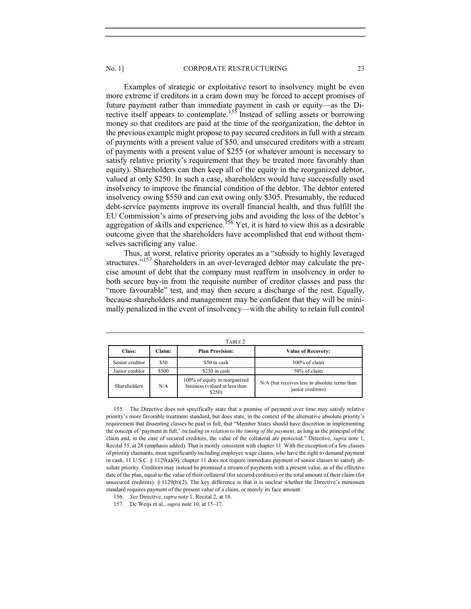#### No. 1] CORPORATE RESTRUCTURING 23

Examples of strategic or exploitative resort to insolvency might be even more extreme if creditors in a cram down may be forced to accept promises of future payment rather than immediate payment in cash or equity—as the Directive itself appears to contemplate.<sup>155</sup> Instead of selling assets or borrowing money so that creditors are paid at the time of the reorganization, the debtor in the previous example might propose to pay secured creditors in full with a stream of payments with a present value of \$50, and unsecured creditors with a stream of payments with a present value of \$255 (or whatever amount is necessary to satisfy relative priority's requirement that they be treated more favorably than equity). Shareholders can then keep all of the equity in the reorganized debtor, valued at only \$250. In such a case, shareholders would have successfully used insolvency to improve the financial condition of the debtor. The debtor entered insolvency owing \$550 and can exit owing only \$305. Presumably, the reduced debt-service payments improve its overall financial health, and thus fulfill the EU Commission's aims of preserving jobs and avoiding the loss of the debtor's aggregation of skills and experience.<sup>156</sup> Yet, it is hard to view this as a desirable outcome given that the shareholders have accomplished that end without themselves sacrificing any value.

Thus, at worst, relative priority operates as a "subsidy to highly leveraged structures."<sup>157</sup> Shareholders in an over-leveraged debtor may calculate the precise amount of debt that the company must reaffirm in insolvency in order to both secure buy-in from the requisite number of creditor classes and pass the "more favourable" test, and may then secure a discharge of the rest. Equally, because shareholders and management may be confident that they will be minimally penalized in the event of insolvency—with the ability to retain full control

| TABLE 2         |                                  |                                                                          |                                                                    |  |  |  |  |  |
|-----------------|----------------------------------|--------------------------------------------------------------------------|--------------------------------------------------------------------|--|--|--|--|--|
| Class:          | <b>Plan Provision:</b><br>Claim: |                                                                          | <b>Value of Recovery:</b>                                          |  |  |  |  |  |
| Senior creditor | \$50                             | \$50 in cash                                                             | 100% of claim                                                      |  |  |  |  |  |
| Junior creditor | \$500                            | \$250 in cash                                                            | 50% of claim                                                       |  |  |  |  |  |
| Shareholders    | N/A                              | 100% of equity in reorganized<br>business (valued at less than<br>\$250) | N/A (but receives less in absolute terms than<br>junior creditors) |  |  |  |  |  |

 155. The Directive does not specifically state that a promise of payment over time may satisfy relative priority's more favorable treatment standard, but does state, in the context of the alternative absolute priority's requirement that dissenting classes be paid in full, that "Member States should have discretion in implementing the concept of 'payment in full,' including in relation to the timing of the payment, as long as the principal of the claim and, in the case of secured creditors, the value of the collateral are protected." Directive, supra note 1, Recital 55, at 28 (emphasis added). That is mostly consistent with chapter 11. With the exception of a few classes of priority claimants, most significantly including employee wage claims, who have the right to demand payment in cash, 11 U.S.C. § 1129(a)(9), chapter 11 does not require immediate payment of senior classes to satisfy absolute priority. Creditors may instead be promised a stream of payments with a present value, as of the effective date of the plan, equal to the value of their collateral (for secured creditors) or the total amount of their claim (for unsecured creditors). § 1129(b)(2). The key difference is that it is unclear whether the Directive's minimum standard requires payment of the present value of a claim, or merely its face amount.

156. See Directive, supra note 1, Recital 2, at 18.

157. De Weijs et al., supra note 10, at 15–17.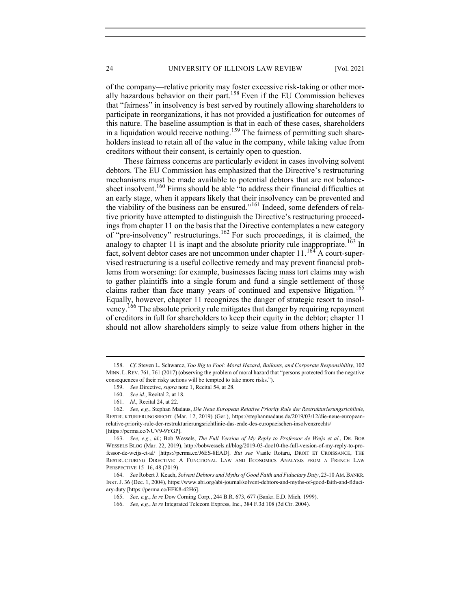of the company—relative priority may foster excessive risk-taking or other morally hazardous behavior on their part.158 Even if the EU Commission believes that "fairness" in insolvency is best served by routinely allowing shareholders to participate in reorganizations, it has not provided a justification for outcomes of this nature. The baseline assumption is that in each of these cases, shareholders in a liquidation would receive nothing.<sup>159</sup> The fairness of permitting such shareholders instead to retain all of the value in the company, while taking value from creditors without their consent, is certainly open to question.

These fairness concerns are particularly evident in cases involving solvent debtors. The EU Commission has emphasized that the Directive's restructuring mechanisms must be made available to potential debtors that are not balancesheet insolvent.<sup>160</sup> Firms should be able "to address their financial difficulties at an early stage, when it appears likely that their insolvency can be prevented and the viability of the business can be ensured."161 Indeed, some defenders of relative priority have attempted to distinguish the Directive's restructuring proceedings from chapter 11 on the basis that the Directive contemplates a new category of "pre-insolvency" restructurings.162 For such proceedings, it is claimed, the analogy to chapter 11 is inapt and the absolute priority rule inappropriate.<sup>163</sup> In fact, solvent debtor cases are not uncommon under chapter  $11.^{164}$  A court-supervised restructuring is a useful collective remedy and may prevent financial problems from worsening: for example, businesses facing mass tort claims may wish to gather plaintiffs into a single forum and fund a single settlement of those claims rather than face many years of continued and expensive litigation.<sup>165</sup> Equally, however, chapter 11 recognizes the danger of strategic resort to insolvency.166 The absolute priority rule mitigates that danger by requiring repayment of creditors in full for shareholders to keep their equity in the debtor; chapter 11 should not allow shareholders simply to seize value from others higher in the

 <sup>158.</sup> Cf. Steven L. Schwarcz, Too Big to Fool: Moral Hazard, Bailouts, and Corporate Responsibility, 102 MINN. L.REV. 761, 761 (2017) (observing the problem of moral hazard that "persons protected from the negative consequences of their risky actions will be tempted to take more risks.").

 <sup>159.</sup> See Directive, supra note 1, Recital 54, at 28.

 <sup>160.</sup> See id., Recital 2, at 18.

 <sup>161.</sup> Id., Recital 24, at 22.

 <sup>162.</sup> See, e.g., Stephan Madaus, Die Neue European Relative Priority Rule der Restrukturierungsrichlinie, RESTRUKTURIERUNGSRECHT (Mar. 12, 2019) (Ger.), https://stephanmadaus.de/2019/03/12/die-neue-europeanrelative-priority-rule-der-restrukturierungsrichtlinie-das-ende-des-europaeischen-insolvenzrechts/ [https://perma.cc/NUV9-9YGP].

 <sup>163.</sup> See, e.g., id.; Bob Wessels, The Full Version of My Reply to Professor de Weijs et al., DR. BOB WESSELS BLOG (Mar. 22, 2019), http://bobwessels.nl/blog/2019-03-doc10-the-full-version-of-my-reply-to-professor-de-weijs-et-al/ [https://perma.cc/J6ES-8EAD]. But see Vasile Rotaru, DROIT ET CROISSANCE, THE RESTRUCTURING DIRECTIVE: A FUNCTIONAL LAW AND ECONOMICS ANALYSIS FROM A FRENCH LAW PERSPECTIVE 15–16, 48 (2019).

 <sup>164.</sup> See Robert J. Keach, Solvent Debtors and Myths of Good Faith and Fiduciary Duty, 23-10 AM.BANKR. INST. J. 36 (Dec. 1, 2004), https://www.abi.org/abi-journal/solvent-debtors-and-myths-of-good-faith-and-fiduciary-duty [https://perma.cc/EFK8-42H6].

 <sup>165.</sup> See, e.g., In re Dow Corning Corp., 244 B.R. 673, 677 (Bankr. E.D. Mich. 1999).

 <sup>166.</sup> See, e.g., In re Integrated Telecom Express, Inc., 384 F.3d 108 (3d Cir. 2004).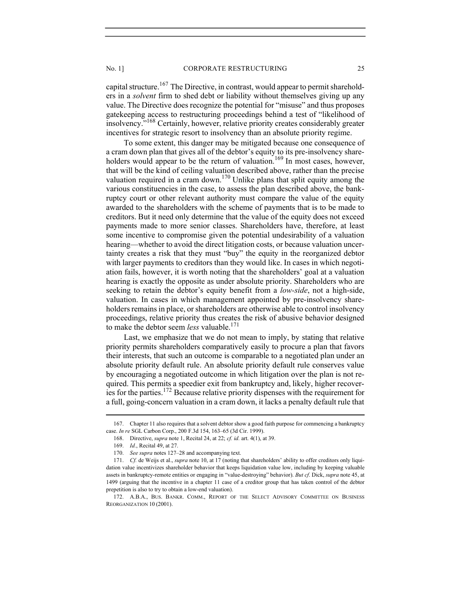capital structure.<sup>167</sup> The Directive, in contrast, would appear to permit shareholders in a solvent firm to shed debt or liability without themselves giving up any value. The Directive does recognize the potential for "misuse" and thus proposes gatekeeping access to restructuring proceedings behind a test of "likelihood of insolvency."168 Certainly, however, relative priority creates considerably greater incentives for strategic resort to insolvency than an absolute priority regime.

To some extent, this danger may be mitigated because one consequence of a cram down plan that gives all of the debtor's equity to its pre-insolvency shareholders would appear to be the return of valuation.<sup>169</sup> In most cases, however, that will be the kind of ceiling valuation described above, rather than the precise valuation required in a cram down.<sup>170</sup> Unlike plans that split equity among the various constituencies in the case, to assess the plan described above, the bankruptcy court or other relevant authority must compare the value of the equity awarded to the shareholders with the scheme of payments that is to be made to creditors. But it need only determine that the value of the equity does not exceed payments made to more senior classes. Shareholders have, therefore, at least some incentive to compromise given the potential undesirability of a valuation hearing—whether to avoid the direct litigation costs, or because valuation uncertainty creates a risk that they must "buy" the equity in the reorganized debtor with larger payments to creditors than they would like. In cases in which negotiation fails, however, it is worth noting that the shareholders' goal at a valuation hearing is exactly the opposite as under absolute priority. Shareholders who are seeking to retain the debtor's equity benefit from a *low-side*, not a high-side, valuation. In cases in which management appointed by pre-insolvency shareholders remains in place, or shareholders are otherwise able to control insolvency proceedings, relative priority thus creates the risk of abusive behavior designed to make the debtor seem *less* valuable.<sup>171</sup>

Last, we emphasize that we do not mean to imply, by stating that relative priority permits shareholders comparatively easily to procure a plan that favors their interests, that such an outcome is comparable to a negotiated plan under an absolute priority default rule. An absolute priority default rule conserves value by encouraging a negotiated outcome in which litigation over the plan is not required. This permits a speedier exit from bankruptcy and, likely, higher recoveries for the parties.<sup>172</sup> Because relative priority dispenses with the requirement for a full, going-concern valuation in a cram down, it lacks a penalty default rule that

 <sup>167.</sup> Chapter 11 also requires that a solvent debtor show a good faith purpose for commencing a bankruptcy case. In re SGL Carbon Corp., 200 F.3d 154, 163–65 (3d Cir. 1999).

 <sup>168.</sup> Directive, supra note 1, Recital 24, at 22; cf. id. art. 4(1), at 39.

 <sup>169.</sup> Id., Recital 49, at 27.

<sup>170.</sup> See supra notes 127–28 and accompanying text.

<sup>171.</sup> Cf. de Weijs et al., supra note 10, at 17 (noting that shareholders' ability to offer creditors only liquidation value incentivizes shareholder behavior that keeps liquidation value low, including by keeping valuable assets in bankruptcy-remote entities or engaging in "value-destroying" behavior). But cf. Dick, supra note 45, at 1499 (arguing that the incentive in a chapter 11 case of a creditor group that has taken control of the debtor prepetition is also to try to obtain a low-end valuation).

 <sup>172.</sup> A.B.A., BUS. BANKR. COMM., REPORT OF THE SELECT ADVISORY COMMITTEE ON BUSINESS REORGANIZATION 10 (2001).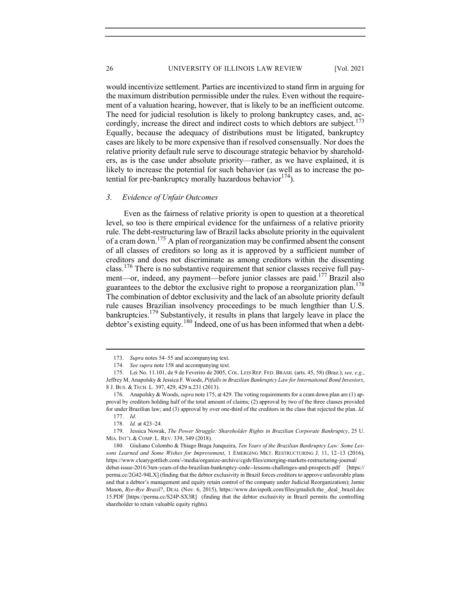would incentivize settlement. Parties are incentivized to stand firm in arguing for the maximum distribution permissible under the rules. Even without the requirement of a valuation hearing, however, that is likely to be an inefficient outcome. The need for judicial resolution is likely to prolong bankruptcy cases, and, accordingly, increase the direct and indirect costs to which debtors are subject.<sup>173</sup> Equally, because the adequacy of distributions must be litigated, bankruptcy cases are likely to be more expensive than if resolved consensually. Nor does the relative priority default rule serve to discourage strategic behavior by shareholders, as is the case under absolute priority—rather, as we have explained, it is likely to increase the potential for such behavior (as well as to increase the potential for pre-bankruptcy morally hazardous behavior $174$ ).

## 3. Evidence of Unfair Outcomes

Even as the fairness of relative priority is open to question at a theoretical level, so too is there empirical evidence for the unfairness of a relative priority rule. The debt-restructuring law of Brazil lacks absolute priority in the equivalent of a cram down.175 A plan of reorganization may be confirmed absent the consent of all classes of creditors so long as it is approved by a sufficient number of creditors and does not discriminate as among creditors within the dissenting class.176 There is no substantive requirement that senior classes receive full payment—or, indeed, any payment—before junior classes are paid.<sup>177</sup> Brazil also guarantees to the debtor the exclusive right to propose a reorganization plan.<sup>178</sup> The combination of debtor exclusivity and the lack of an absolute priority default rule causes Brazilian insolvency proceedings to be much lengthier than U.S. bankruptcies.<sup>179</sup> Substantively, it results in plans that largely leave in place the debtor's existing equity.<sup>180</sup> Indeed, one of us has been informed that when a debt-

 <sup>173.</sup> Supra notes 54–55 and accompanying text.

 <sup>174.</sup> See supra note 158 and accompanying text.

 <sup>175.</sup> Lei No. 11.101, de 9 de Feveriro de 2005, COL. LEIS REP. FED. BRASIL (arts. 45, 58) (Braz.); see, e.g., Jeffrey M. Anapolsky & Jessica F. Woods, Pitfalls in Brazilian Bankruptcy Law for International Bond Investors, 8 J. BUS. & TECH. L. 397, 429, 429 n.231 (2013).

<sup>176.</sup> Anapolsky & Woods, *supra* note 175, at 429. The voting requirements for a cram down plan are (1) approval by creditors holding half of the total amount of claims; (2) approval by two of the three classes provided for under Brazilian law; and (3) approval by over one-third of the creditors in the class that rejected the plan. Id. 177. Id.

 <sup>178.</sup> Id. at 423–24.

<sup>179.</sup> Jessica Nowak, The Power Struggle: Shareholder Rights in Brazilian Corporate Bankruptcy, 25 U. MIA. INT'L & COMP. L. REV. 339, 349 (2018).

<sup>180.</sup> Giuliano Colombo & Thiago Braga Junqueira, Ten Years of the Brazilian Bankruptcy Law: Some Lessons Learned and Some Wishes for Improvement, 1 EMERGING MKT. RESTRUCTURING J. 11, 12-13 (2016), https://www.clearygottlieb.com/-/media/organize-archive/cgsh/files/emerging-markets-restructuring-journal/ debut-issue-2016/3ten-years-of-the-brazilian-bankruptcy-code--lessons-challenges-and-prospects.pdf [https:// perma.cc/2G42-94LX] (finding that the debtor exclusivity in Brazil forces creditors to approve unfavorable plans and that a debtor's management and equity retain control of the company under Judicial Reorganization); Jamie Mason, Bye-Bye Brazil?, DEAL (Nov. 6, 2015), https://www.davispolk.com/files/graulich.the\_.deal\_.brazil.dec 15.PDF [https://perma.cc/S24P-SX3R] (finding that the debtor exclusivity in Brazil permits the controlling shareholder to retain valuable equity rights).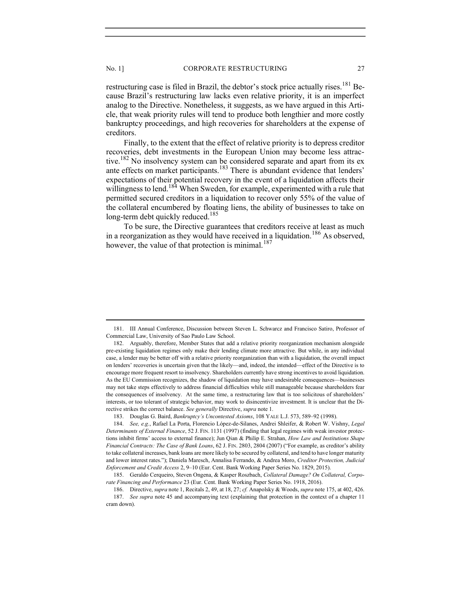restructuring case is filed in Brazil, the debtor's stock price actually rises.<sup>181</sup> Because Brazil's restructuring law lacks even relative priority, it is an imperfect analog to the Directive. Nonetheless, it suggests, as we have argued in this Article, that weak priority rules will tend to produce both lengthier and more costly

bankruptcy proceedings, and high recoveries for shareholders at the expense of creditors.

Finally, to the extent that the effect of relative priority is to depress creditor recoveries, debt investments in the European Union may become less attractive.<sup>182</sup> No insolvency system can be considered separate and apart from its ex ante effects on market participants.<sup>183</sup> There is abundant evidence that lenders' expectations of their potential recovery in the event of a liquidation affects their willingness to lend.<sup>184</sup> When Sweden, for example, experimented with a rule that permitted secured creditors in a liquidation to recover only 55% of the value of the collateral encumbered by floating liens, the ability of businesses to take on long-term debt quickly reduced.<sup>185</sup>

To be sure, the Directive guarantees that creditors receive at least as much in a reorganization as they would have received in a liquidation.<sup>186</sup> As observed, however, the value of that protection is minimal.<sup>187</sup>

 <sup>181.</sup> III Annual Conference, Discussion between Steven L. Schwarcz and Francisco Satiro, Professor of Commercial Law, University of Sao Paulo Law School.

 <sup>182.</sup> Arguably, therefore, Member States that add a relative priority reorganization mechanism alongside pre-existing liquidation regimes only make their lending climate more attractive. But while, in any individual case, a lender may be better off with a relative priority reorganization than with a liquidation, the overall impact on lenders' recoveries is uncertain given that the likely—and, indeed, the intended—effect of the Directive is to encourage more frequent resort to insolvency. Shareholders currently have strong incentives to avoid liquidation. As the EU Commission recognizes, the shadow of liquidation may have undesirable consequences—businesses may not take steps effectively to address financial difficulties while still manageable because shareholders fear the consequences of insolvency. At the same time, a restructuring law that is too solicitous of shareholders' interests, or too tolerant of strategic behavior, may work to disincentivize investment. It is unclear that the Directive strikes the correct balance. See generally Directive, supra note 1.

 <sup>183.</sup> Douglas G. Baird, Bankruptcy's Uncontested Axioms, 108 YALE L.J. 573, 589–92 (1998).

 <sup>184.</sup> See, e.g., Rafael La Porta, Florencio López-de-Silanes, Andrei Shleifer, & Robert W. Vishny, Legal Determinants of External Finance, 52 J. FIN. 1131 (1997) (finding that legal regimes with weak investor protections inhibit firms' access to external finance); Jun Qian & Philip E. Strahan, How Law and Institutions Shape Financial Contracts: The Case of Bank Loans, 62 J. FIN. 2803, 2804 (2007) ("For example, as creditor's ability to take collateral increases, bank loans are more likely to be secured by collateral, and tend to have longer maturity and lower interest rates."); Daniela Maresch, Annalisa Ferrando, & Andrea Moro, Creditor Protection, Judicial Enforcement and Credit Access 2, 9–10 (Eur. Cent. Bank Working Paper Series No. 1829, 2015).

 <sup>185.</sup> Geraldo Cerqueiro, Steven Ongena, & Kasper Roszbach, Collateral Damage? On Collateral, Corporate Financing and Performance 23 (Eur. Cent. Bank Working Paper Series No. 1918, 2016).

 <sup>186.</sup> Directive, supra note 1, Recitals 2, 49, at 18, 27; cf. Anapolsky & Woods, supra note 175, at 402, 426. 187. See supra note 45 and accompanying text (explaining that protection in the context of a chapter 11 cram down).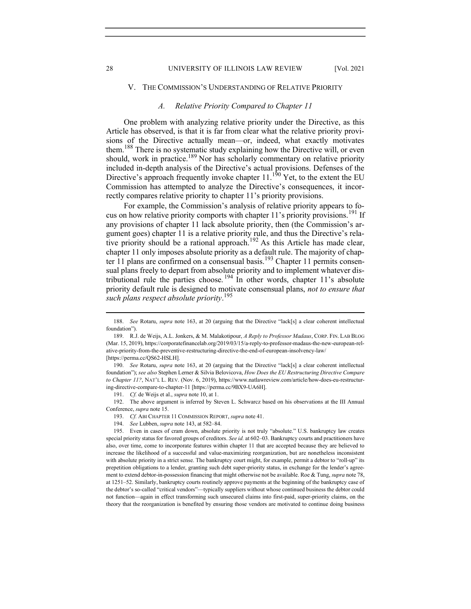#### 28 UNIVERSITY OF ILLINOIS LAW REVIEW [Vol. 2021

## V. THE COMMISSION'S UNDERSTANDING OF RELATIVE PRIORITY

# A. Relative Priority Compared to Chapter 11

One problem with analyzing relative priority under the Directive, as this Article has observed, is that it is far from clear what the relative priority provisions of the Directive actually mean—or, indeed, what exactly motivates them.<sup>188</sup> There is no systematic study explaining how the Directive will, or even should, work in practice.<sup>189</sup> Nor has scholarly commentary on relative priority included in-depth analysis of the Directive's actual provisions. Defenses of the Directive's approach frequently invoke chapter  $11.^{190}$  Yet, to the extent the EU Commission has attempted to analyze the Directive's consequences, it incorrectly compares relative priority to chapter 11's priority provisions.

For example, the Commission's analysis of relative priority appears to focus on how relative priority comports with chapter 11's priority provisions.<sup>191</sup> If any provisions of chapter 11 lack absolute priority, then (the Commission's argument goes) chapter 11 is a relative priority rule, and thus the Directive's relative priority should be a rational approach.<sup>192</sup> As this Article has made clear, chapter 11 only imposes absolute priority as a default rule. The majority of chapter 11 plans are confirmed on a consensual basis.<sup>193</sup> Chapter 11 permits consensual plans freely to depart from absolute priority and to implement whatever distributional rule the parties choose. <sup>194</sup> In other words, chapter 11's absolute priority default rule is designed to motivate consensual plans, not to ensure that such plans respect absolute priority.<sup>195</sup>

 190. See Rotaru, supra note 163, at 20 (arguing that the Directive "lack[s] a clear coherent intellectual foundation"); see also Stephen Lerner & Silvia Belovicova, How Does the EU Restructuring Directive Compare to Chapter 11?, NAT'L L. REV. (Nov. 6, 2019), https://www.natlawreview.com/article/how-does-eu-restructuring-directive-compare-to-chapter-11 [https://perma.cc/9BX9-UA6H].

191. Cf. de Weijs et al., supra note 10, at 1.

 192. The above argument is inferred by Steven L. Schwarcz based on his observations at the III Annual Conference, supra note 15.

193. Cf. ABI CHAPTER 11 COMMISSION REPORT, supra note 41.

 <sup>188.</sup> See Rotaru, supra note 163, at 20 (arguing that the Directive "lack[s] a clear coherent intellectual foundation").

<sup>189.</sup> R.J. de Weijs, A.L. Jonkers, & M. Malakotipour, A Reply to Professor Madaus, CORP. FIN. LAB BLOG (Mar. 15, 2019), https://corporatefinancelab.org/2019/03/15/a-reply-to-professor-madaus-the-new-european-relative-priority-from-the-preventive-restructuring-directive-the-end-of-european-insolvency-law/ [https://perma.cc/QS62-HSLH].

 <sup>194.</sup> See Lubben, supra note 143, at 582–84.

 <sup>195.</sup> Even in cases of cram down, absolute priority is not truly "absolute." U.S. bankruptcy law creates special priority status for favored groups of creditors. See id. at 602–03. Bankruptcy courts and practitioners have also, over time, come to incorporate features within chapter 11 that are accepted because they are believed to increase the likelihood of a successful and value-maximizing reorganization, but are nonetheless inconsistent with absolute priority in a strict sense. The bankruptcy court might, for example, permit a debtor to "roll-up" its prepetition obligations to a lender, granting such debt super-priority status, in exchange for the lender's agreement to extend debtor-in-possession financing that might otherwise not be available. Roe & Tung, supra note 78, at 1251–52. Similarly, bankruptcy courts routinely approve payments at the beginning of the bankruptcy case of the debtor's so-called "critical vendors"—typically suppliers without whose continued business the debtor could not function—again in effect transforming such unsecured claims into first-paid, super-priority claims, on the theory that the reorganization is benefited by ensuring those vendors are motivated to continue doing business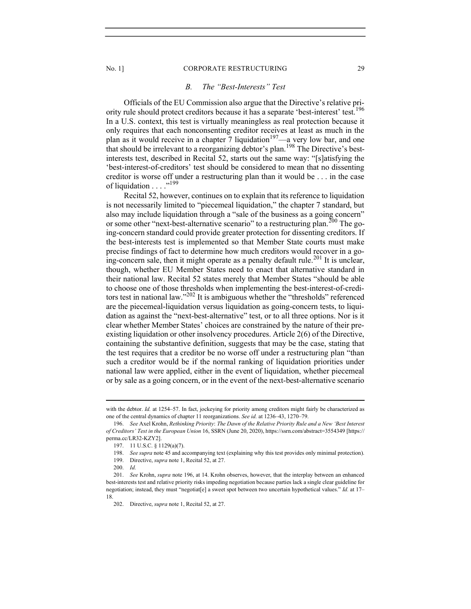#### No. 1] CORPORATE RESTRUCTURING 29

## B. The "Best-Interests" Test

Officials of the EU Commission also argue that the Directive's relative priority rule should protect creditors because it has a separate 'best-interest' test.<sup>196</sup> In a U.S. context, this test is virtually meaningless as real protection because it only requires that each nonconsenting creditor receives at least as much in the plan as it would receive in a chapter 7 liquidation<sup>197</sup>—a very low bar, and one that should be irrelevant to a reorganizing debtor's plan.198 The Directive's bestinterests test, described in Recital 52, starts out the same way: "[s]atisfying the 'best-interest-of-creditors' test should be considered to mean that no dissenting creditor is worse off under a restructuring plan than it would be . . . in the case of liquidation . . . . "<sup>199</sup>

Recital 52, however, continues on to explain that its reference to liquidation is not necessarily limited to "piecemeal liquidation," the chapter 7 standard, but also may include liquidation through a "sale of the business as a going concern" or some other "next-best-alternative scenario" to a restructuring plan.<sup>200</sup> The going-concern standard could provide greater protection for dissenting creditors. If the best-interests test is implemented so that Member State courts must make precise findings of fact to determine how much creditors would recover in a going-concern sale, then it might operate as a penalty default rule.<sup>201</sup> It is unclear, though, whether EU Member States need to enact that alternative standard in their national law. Recital 52 states merely that Member States "should be able to choose one of those thresholds when implementing the best-interest-of-creditors test in national law."<sup>202</sup> It is ambiguous whether the "thresholds" referenced are the piecemeal-liquidation versus liquidation as going-concern tests, to liquidation as against the "next-best-alternative" test, or to all three options. Nor is it clear whether Member States' choices are constrained by the nature of their preexisting liquidation or other insolvency procedures. Article 2(6) of the Directive, containing the substantive definition, suggests that may be the case, stating that the test requires that a creditor be no worse off under a restructuring plan "than such a creditor would be if the normal ranking of liquidation priorities under national law were applied, either in the event of liquidation, whether piecemeal or by sale as a going concern, or in the event of the next-best-alternative scenario

with the debtor. Id. at 1254–57. In fact, jockeying for priority among creditors might fairly be characterized as one of the central dynamics of chapter 11 reorganizations. See id. at 1236–43, 1270–79.

 <sup>196.</sup> See Axel Krohn, Rethinking Priority: The Dawn of the Relative Priority Rule and a New 'Best Interest of Creditors' Test in the European Union 16, SSRN (June 20, 2020), https://ssrn.com/abstract=3554349 [https:// perma.cc/LR32-KZY2].

 <sup>197. 11</sup> U.S.C. § 1129(a)(7).

<sup>198.</sup> See supra note 45 and accompanying text (explaining why this test provides only minimal protection).

 <sup>199.</sup> Directive, supra note 1, Recital 52, at 27.

 <sup>200.</sup> Id.

 <sup>201.</sup> See Krohn, supra note 196, at 14. Krohn observes, however, that the interplay between an enhanced best-interests test and relative priority risks impeding negotiation because parties lack a single clear guideline for negotiation; instead, they must "negotiat[e] a sweet spot between two uncertain hypothetical values." Id. at 17– 18.

 <sup>202.</sup> Directive, supra note 1, Recital 52, at 27.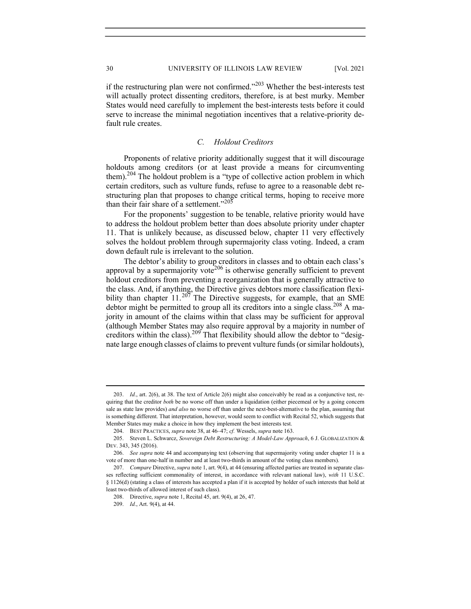if the restructuring plan were not confirmed." $^{203}$  Whether the best-interests test will actually protect dissenting creditors, therefore, is at best murky. Member States would need carefully to implement the best-interests tests before it could serve to increase the minimal negotiation incentives that a relative-priority default rule creates.

## C. Holdout Creditors

Proponents of relative priority additionally suggest that it will discourage holdouts among creditors (or at least provide a means for circumventing them).<sup>204</sup> The holdout problem is a "type of collective action problem in which certain creditors, such as vulture funds, refuse to agree to a reasonable debt restructuring plan that proposes to change critical terms, hoping to receive more than their fair share of a settlement." $205$ 

For the proponents' suggestion to be tenable, relative priority would have to address the holdout problem better than does absolute priority under chapter 11. That is unlikely because, as discussed below, chapter 11 very effectively solves the holdout problem through supermajority class voting. Indeed, a cram down default rule is irrelevant to the solution.

The debtor's ability to group creditors in classes and to obtain each class's approval by a supermajority vote<sup>206</sup> is otherwise generally sufficient to prevent holdout creditors from preventing a reorganization that is generally attractive to the class. And, if anything, the Directive gives debtors more classification flexibility than chapter  $11.^{207}$  The Directive suggests, for example, that an SME debtor might be permitted to group all its creditors into a single class.<sup>208</sup> A majority in amount of the claims within that class may be sufficient for approval (although Member States may also require approval by a majority in number of creditors within the class).<sup>209</sup> That flexibility should allow the debtor to "designate large enough classes of claims to prevent vulture funds (or similar holdouts),

 <sup>203.</sup> Id., art. 2(6), at 38. The text of Article 2(6) might also conceivably be read as a conjunctive test, requiring that the creditor both be no worse off than under a liquidation (either piecemeal or by a going concern sale as state law provides) and also no worse off than under the next-best-alternative to the plan, assuming that is something different. That interpretation, however, would seem to conflict with Recital 52, which suggests that Member States may make a choice in how they implement the best interests test.

 <sup>204.</sup> BEST PRACTICES, supra note 38, at 46–47; cf. Wessels, supra note 163.

<sup>205.</sup> Steven L. Schwarcz, Sovereign Debt Restructuring: A Model-Law Approach, 6 J. GLOBALIZATION & DEV. 343, 345 (2016).

<sup>206.</sup> See supra note 44 and accompanying text (observing that supermajority voting under chapter 11 is a vote of more than one-half in number and at least two-thirds in amount of the voting class members).

<sup>207.</sup> Compare Directive, supra note 1, art. 9(4), at 44 (ensuring affected parties are treated in separate classes reflecting sufficient commonality of interest, in accordance with relevant national law), with 11 U.S.C. § 1126(d) (stating a class of interests has accepted a plan if it is accepted by holder of such interests that hold at least two-thirds of allowed interest of such class).

 <sup>208.</sup> Directive, supra note 1, Recital 45, art. 9(4), at 26, 47.

 <sup>209.</sup> Id., Art. 9(4), at 44.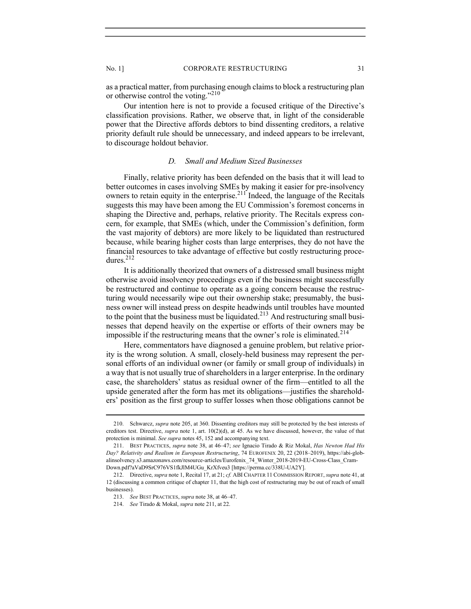as a practical matter, from purchasing enough claims to block a restructuring plan or otherwise control the voting."<sup>210</sup>

Our intention here is not to provide a focused critique of the Directive's classification provisions. Rather, we observe that, in light of the considerable power that the Directive affords debtors to bind dissenting creditors, a relative priority default rule should be unnecessary, and indeed appears to be irrelevant, to discourage holdout behavior.

# D. Small and Medium Sized Businesses

Finally, relative priority has been defended on the basis that it will lead to better outcomes in cases involving SMEs by making it easier for pre-insolvency owners to retain equity in the enterprise.211 Indeed, the language of the Recitals suggests this may have been among the EU Commission's foremost concerns in shaping the Directive and, perhaps, relative priority. The Recitals express concern, for example, that SMEs (which, under the Commission's definition, form the vast majority of debtors) are more likely to be liquidated than restructured because, while bearing higher costs than large enterprises, they do not have the financial resources to take advantage of effective but costly restructuring procedures.<sup>212</sup>

It is additionally theorized that owners of a distressed small business might otherwise avoid insolvency proceedings even if the business might successfully be restructured and continue to operate as a going concern because the restructuring would necessarily wipe out their ownership stake; presumably, the business owner will instead press on despite headwinds until troubles have mounted to the point that the business must be liquidated.<sup>213</sup> And restructuring small businesses that depend heavily on the expertise or efforts of their owners may be impossible if the restructuring means that the owner's role is eliminated.<sup>214</sup>

Here, commentators have diagnosed a genuine problem, but relative priority is the wrong solution. A small, closely-held business may represent the personal efforts of an individual owner (or family or small group of individuals) in a way that is not usually true of shareholders in a larger enterprise. In the ordinary case, the shareholders' status as residual owner of the firm—entitled to all the upside generated after the form has met its obligations—justifies the shareholders' position as the first group to suffer losses when those obligations cannot be

 <sup>210.</sup> Schwarcz, supra note 205, at 360. Dissenting creditors may still be protected by the best interests of creditors test. Directive, supra note 1, art.  $10(2)(d)$ , at 45. As we have discussed, however, the value of that protection is minimal. See supra notes 45, 152 and accompanying text.

 <sup>211.</sup> BEST PRACTICES, supra note 38, at 46–47; see Ignacio Tirado & Riz Mokal, Has Newton Had His Day? Relativity and Realism in European Restructuring, 74 EUROFENIX 20, 22 (2018–2019), https://abi-globalinsolvency.s3.amazonaws.com/resource-articles/Eurofenix\_74\_Winter\_2018-2019-EU-Cross-Class\_Cram-Down.pdf?aVaD9SrC976VS1fkJlM4UGu\_KrXfveu3 [https://perma.cc/338U-UA2Y].

<sup>212.</sup> Directive, supra note 1, Recital 17, at 21; cf. ABI CHAPTER 11 COMMISSION REPORT, supra note 41, at 12 (discussing a common critique of chapter 11, that the high cost of restructuring may be out of reach of small businesses).

<sup>213.</sup> See BEST PRACTICES, supra note 38, at 46-47.

 <sup>214.</sup> See Tirado & Mokal, supra note 211, at 22.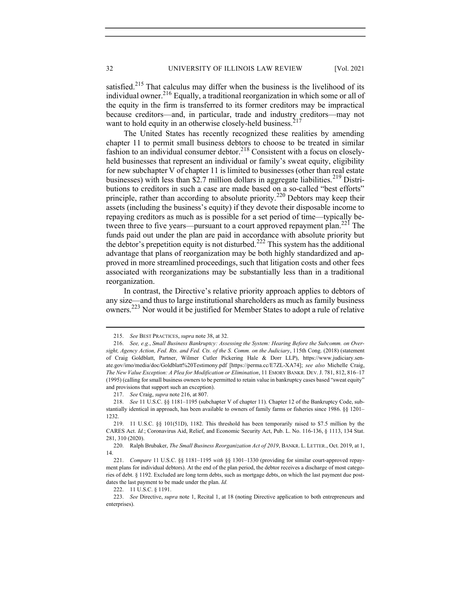satisfied.<sup>215</sup> That calculus may differ when the business is the livelihood of its individual owner.<sup>216</sup> Equally, a traditional reorganization in which some or all of the equity in the firm is transferred to its former creditors may be impractical because creditors—and, in particular, trade and industry creditors—may not want to hold equity in an otherwise closely-held business.<sup>217</sup>

The United States has recently recognized these realities by amending chapter 11 to permit small business debtors to choose to be treated in similar fashion to an individual consumer debtor.<sup>218</sup> Consistent with a focus on closelyheld businesses that represent an individual or family's sweat equity, eligibility for new subchapter V of chapter 11 is limited to businesses (other than real estate businesses) with less than \$2.7 million dollars in aggregate liabilities.<sup>219</sup> Distributions to creditors in such a case are made based on a so-called "best efforts" principle, rather than according to absolute priority.<sup>220</sup> Debtors may keep their assets (including the business's equity) if they devote their disposable income to repaying creditors as much as is possible for a set period of time—typically between three to five years—pursuant to a court approved repayment plan.<sup>221</sup> The funds paid out under the plan are paid in accordance with absolute priority but the debtor's prepetition equity is not disturbed.<sup>222</sup> This system has the additional advantage that plans of reorganization may be both highly standardized and approved in more streamlined proceedings, such that litigation costs and other fees associated with reorganizations may be substantially less than in a traditional reorganization.

In contrast, the Directive's relative priority approach applies to debtors of any size—and thus to large institutional shareholders as much as family business owners.223 Nor would it be justified for Member States to adopt a rule of relative

217. See Craig, supra note 216, at 807.

222. 11 U.S.C. § 1191.

 <sup>215.</sup> See BEST PRACTICES, supra note 38, at 32.

 <sup>216.</sup> See, e.g., Small Business Bankruptcy: Assessing the System: Hearing Before the Subcomm. on Oversight, Agency Action, Fed. Rts. and Fed. Cts. of the S. Comm. on the Judiciary, 115th Cong. (2018) (statement of Craig Goldblatt, Partner, Wilmer Cutler Pickering Hale & Dorr LLP), https://www.judiciary.senate.gov/imo/media/doc/Goldblatt%20Testimony.pdf [https://perma.cc/E7ZL-XA74]; see also Michelle Craig, The New Value Exception: A Plea for Modification or Elimination, 11 EMORY BANKR. DEV. J. 781, 812, 816–17 (1995) (calling for small business owners to be permitted to retain value in bankruptcy cases based "sweat equity" and provisions that support such an exception).

<sup>218.</sup> See 11 U.S.C. §§ 1181-1195 (subchapter V of chapter 11). Chapter 12 of the Bankruptcy Code, substantially identical in approach, has been available to owners of family farms or fisheries since 1986. §§ 1201– 1232.

 <sup>219. 11</sup> U.S.C. §§ 101(51D), 1182. This threshold has been temporarily raised to \$7.5 million by the CARES Act. Id.; Coronavirus Aid, Relief, and Economic Security Act, Pub. L. No. 116-136, § 1113, 134 Stat. 281, 310 (2020).

<sup>220.</sup> Ralph Brubaker, The Small Business Reorganization Act of 2019, BANKR. L. LETTER., Oct. 2019, at 1, 14.

<sup>221.</sup> Compare 11 U.S.C. §§ 1181-1195 with §§ 1301-1330 (providing for similar court-approved repayment plans for individual debtors). At the end of the plan period, the debtor receives a discharge of most categories of debt. § 1192. Excluded are long term debts, such as mortgage debts, on which the last payment due postdates the last payment to be made under the plan. Id.

<sup>223.</sup> See Directive, supra note 1, Recital 1, at 18 (noting Directive application to both entrepreneurs and enterprises).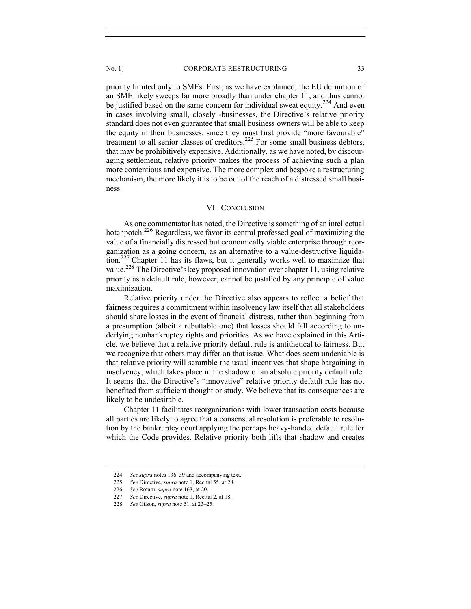priority limited only to SMEs. First, as we have explained, the EU definition of an SME likely sweeps far more broadly than under chapter 11, and thus cannot be justified based on the same concern for individual sweat equity.<sup>224</sup> And even in cases involving small, closely -businesses, the Directive's relative priority standard does not even guarantee that small business owners will be able to keep the equity in their businesses, since they must first provide "more favourable" treatment to all senior classes of creditors.<sup>225</sup> For some small business debtors, that may be prohibitively expensive. Additionally, as we have noted, by discouraging settlement, relative priority makes the process of achieving such a plan more contentious and expensive. The more complex and bespoke a restructuring mechanism, the more likely it is to be out of the reach of a distressed small business.

# VI. CONCLUSION

As one commentator has noted, the Directive is something of an intellectual hotchpotch.<sup>226</sup> Regardless, we favor its central professed goal of maximizing the value of a financially distressed but economically viable enterprise through reorganization as a going concern, as an alternative to a value-destructive liquidation.<sup>227</sup> Chapter 11 has its flaws, but it generally works well to maximize that value.228 The Directive's key proposed innovation over chapter 11, using relative priority as a default rule, however, cannot be justified by any principle of value maximization.

Relative priority under the Directive also appears to reflect a belief that fairness requires a commitment within insolvency law itself that all stakeholders should share losses in the event of financial distress, rather than beginning from a presumption (albeit a rebuttable one) that losses should fall according to underlying nonbankruptcy rights and priorities. As we have explained in this Article, we believe that a relative priority default rule is antithetical to fairness. But we recognize that others may differ on that issue. What does seem undeniable is that relative priority will scramble the usual incentives that shape bargaining in insolvency, which takes place in the shadow of an absolute priority default rule. It seems that the Directive's "innovative" relative priority default rule has not benefited from sufficient thought or study. We believe that its consequences are likely to be undesirable.

Chapter 11 facilitates reorganizations with lower transaction costs because all parties are likely to agree that a consensual resolution is preferable to resolution by the bankruptcy court applying the perhaps heavy-handed default rule for which the Code provides. Relative priority both lifts that shadow and creates

<sup>224.</sup> See supra notes 136–39 and accompanying text.

<sup>225.</sup> See Directive, *supra* note 1, Recital 55, at 28.

<sup>226</sup>. See Rotaru, supra note 163, at 20.

 <sup>227.</sup> See Directive, supra note 1, Recital 2, at 18.

 <sup>228.</sup> See Gilson, supra note 51, at 23–25.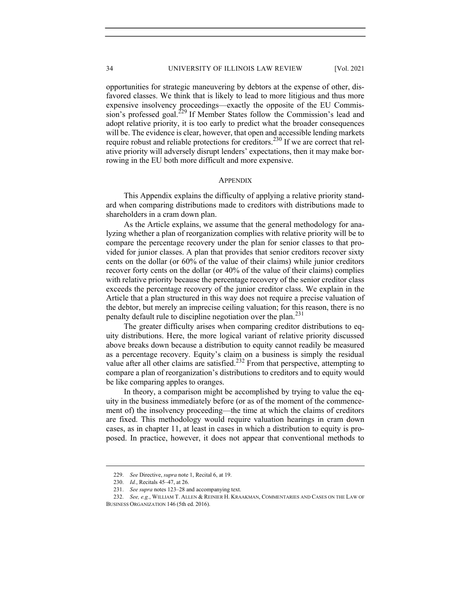opportunities for strategic maneuvering by debtors at the expense of other, disfavored classes. We think that is likely to lead to more litigious and thus more expensive insolvency proceedings—exactly the opposite of the EU Commission's professed goal.<sup>229</sup> If Member States follow the Commission's lead and adopt relative priority, it is too early to predict what the broader consequences will be. The evidence is clear, however, that open and accessible lending markets require robust and reliable protections for creditors.<sup>230</sup> If we are correct that relative priority will adversely disrupt lenders' expectations, then it may make borrowing in the EU both more difficult and more expensive.

## **APPENDIX**

This Appendix explains the difficulty of applying a relative priority standard when comparing distributions made to creditors with distributions made to shareholders in a cram down plan.

As the Article explains, we assume that the general methodology for analyzing whether a plan of reorganization complies with relative priority will be to compare the percentage recovery under the plan for senior classes to that provided for junior classes. A plan that provides that senior creditors recover sixty cents on the dollar (or 60% of the value of their claims) while junior creditors recover forty cents on the dollar (or 40% of the value of their claims) complies with relative priority because the percentage recovery of the senior creditor class exceeds the percentage recovery of the junior creditor class. We explain in the Article that a plan structured in this way does not require a precise valuation of the debtor, but merely an imprecise ceiling valuation; for this reason, there is no penalty default rule to discipline negotiation over the plan.<sup>231</sup>

The greater difficulty arises when comparing creditor distributions to equity distributions. Here, the more logical variant of relative priority discussed above breaks down because a distribution to equity cannot readily be measured as a percentage recovery. Equity's claim on a business is simply the residual value after all other claims are satisfied.<sup>232</sup> From that perspective, attempting to compare a plan of reorganization's distributions to creditors and to equity would be like comparing apples to oranges.

In theory, a comparison might be accomplished by trying to value the equity in the business immediately before (or as of the moment of the commencement of) the insolvency proceeding—the time at which the claims of creditors are fixed. This methodology would require valuation hearings in cram down cases, as in chapter 11, at least in cases in which a distribution to equity is proposed. In practice, however, it does not appear that conventional methods to

 <sup>229.</sup> See Directive, supra note 1, Recital 6, at 19.

 <sup>230.</sup> Id., Recitals 45–47, at 26.

 <sup>231.</sup> See supra notes 123–28 and accompanying text.

<sup>232.</sup> See, e.g., WILLIAM T. ALLEN & REINIER H. KRAAKMAN, COMMENTARIES AND CASES ON THE LAW OF BUSINESS ORGANIZATION 146 (5th ed. 2016).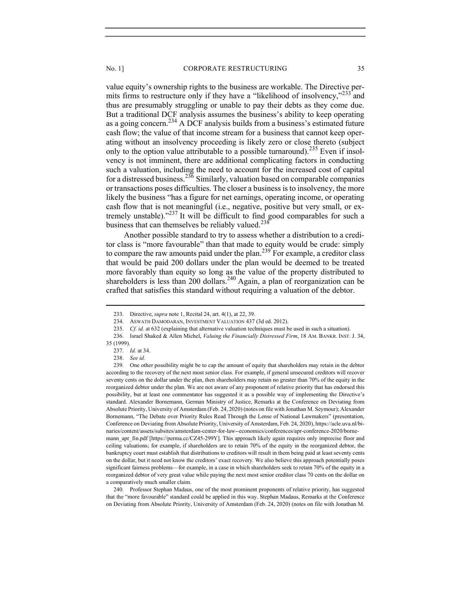value equity's ownership rights to the business are workable. The Directive permits firms to restructure only if they have a "likelihood of insolvency," $233$  and thus are presumably struggling or unable to pay their debts as they come due. But a traditional DCF analysis assumes the business's ability to keep operating as a going concern.<sup>234</sup> A DCF analysis builds from a business's estimated future cash flow; the value of that income stream for a business that cannot keep operating without an insolvency proceeding is likely zero or close thereto (subject only to the option value attributable to a possible turnaround).<sup>235</sup> Even if insolvency is not imminent, there are additional complicating factors in conducting such a valuation, including the need to account for the increased cost of capital for a distressed business.<sup>236</sup> Similarly, valuation based on comparable companies or transactions poses difficulties. The closer a business is to insolvency, the more likely the business "has a figure for net earnings, operating income, or operating cash flow that is not meaningful (i.e., negative, positive but very small, or extremely unstable)."237 It will be difficult to find good comparables for such a

Another possible standard to try to assess whether a distribution to a creditor class is "more favourable" than that made to equity would be crude: simply to compare the raw amounts paid under the plan.<sup>239</sup> For example, a creditor class that would be paid 200 dollars under the plan would be deemed to be treated more favorably than equity so long as the value of the property distributed to shareholders is less than 200 dollars.<sup>240</sup> Again, a plan of reorganization can be crafted that satisfies this standard without requiring a valuation of the debtor.

business that can themselves be reliably valued.<sup>238</sup>

 240. Professor Stephan Madaus, one of the most prominent proponents of relative priority, has suggested that the "more favourable" standard could be applied in this way. Stephan Madaus, Remarks at the Conference on Deviating from Absolute Priority, University of Amsterdam (Feb. 24, 2020) (notes on file with Jonathan M.

 <sup>233.</sup> Directive, supra note 1, Recital 24, art. 4(1), at 22, 39.

 <sup>234.</sup> ASWATH DAMODARAN, INVESTMENT VALUATION 437 (3d ed. 2012).

<sup>235.</sup> Cf. id. at 632 (explaining that alternative valuation techniques must be used in such a situation).

<sup>236.</sup> Israel Shaked & Allen Michel, Valuing the Financially Distressed Firm, 18 AM. BANKR. INST. J. 34,

<sup>35 (1999).</sup> 

 <sup>237.</sup> Id. at 34.

 <sup>238.</sup> See id.

 <sup>239.</sup> One other possibility might be to cap the amount of equity that shareholders may retain in the debtor according to the recovery of the next most senior class. For example, if general unsecured creditors will recover seventy cents on the dollar under the plan, then shareholders may retain no greater than 70% of the equity in the reorganized debtor under the plan. We are not aware of any proponent of relative priority that has endorsed this possibility, but at least one commentator has suggested it as a possible way of implementing the Directive's standard. Alexander Bornemann, German Ministry of Justice, Remarks at the Conference on Deviating from Absolute Priority, University of Amsterdam (Feb. 24, 2020) (notes on file with Jonathan M. Seymour); Alexander Bornemann, "The Debate over Priority Rules Read Through the Lense of National Lawmakers" (presentation, Conference on Deviating from Absolute Priority, University of Amsterdam, Feb. 24, 2020), https://acle.uva.nl/binaries/content/assets/subsites/amsterdam-center-for-law--economics/conferences/apr-conference-2020/bornemann\_apr\_fin.pdf [https://perma.cc/CZ45-299Y]. This approach likely again requires only imprecise floor and ceiling valuations; for example, if shareholders are to retain 70% of the equity in the reorganized debtor, the bankruptcy court must establish that distributions to creditors will result in them being paid at least seventy cents on the dollar, but it need not know the creditors' exact recovery. We also believe this approach potentially poses significant fairness problems—for example, in a case in which shareholders seek to retain 70% of the equity in a reorganized debtor of very great value while paying the next most senior creditor class 70 cents on the dollar on a comparatively much smaller claim.